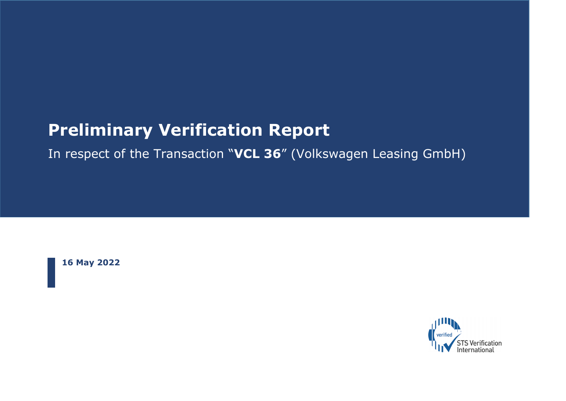# **Preliminary Verification Report**

## In respect of the Transaction "**VCL 36**" (Volkswagen Leasing GmbH)

**16 May 2022**

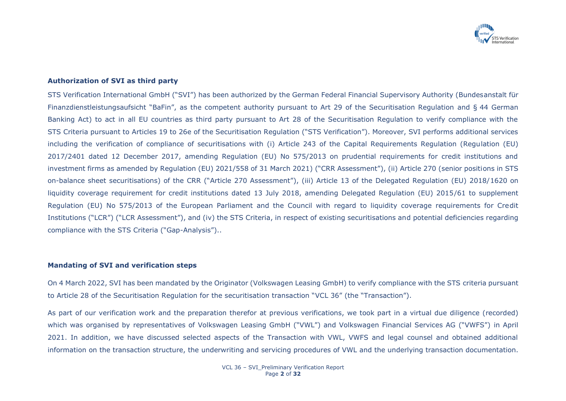

#### **Authorization of SVI as third party**

STS Verification International GmbH ("SVI") has been authorized by the German Federal Financial Supervisory Authority (Bundesanstalt für Finanzdienstleistungsaufsicht "BaFin", as the competent authority pursuant to Art 29 of the Securitisation Regulation and § 44 German Banking Act) to act in all EU countries as third party pursuant to Art 28 of the Securitisation Regulation to verify compliance with the STS Criteria pursuant to Articles 19 to 26e of the Securitisation Regulation ("STS Verification"). Moreover, SVI performs additional services including the verification of compliance of securitisations with (i) Article 243 of the Capital Requirements Regulation (Regulation (EU) 2017/2401 dated 12 December 2017, amending Regulation (EU) No 575/2013 on prudential requirements for credit institutions and investment firms as amended by Regulation (EU) 2021/558 of 31 March 2021) ("CRR Assessment"), (ii) Article 270 (senior positions in STS on-balance sheet securitisations) of the CRR ("Article 270 Assessment"), (iii) Article 13 of the Delegated Regulation (EU) 2018/1620 on liquidity coverage requirement for credit institutions dated 13 July 2018, amending Delegated Regulation (EU) 2015/61 to supplement Regulation (EU) No 575/2013 of the European Parliament and the Council with regard to liquidity coverage requirements for Credit Institutions ("LCR") ("LCR Assessment"), and (iv) the STS Criteria, in respect of existing securitisations and potential deficiencies regarding compliance with the STS Criteria ("Gap-Analysis")..

#### **Mandating of SVI and verification steps**

On 4 March 2022, SVI has been mandated by the Originator (Volkswagen Leasing GmbH) to verify compliance with the STS criteria pursuant to Article 28 of the Securitisation Regulation for the securitisation transaction "VCL 36" (the "Transaction").

As part of our verification work and the preparation therefor at previous verifications, we took part in a virtual due diligence (recorded) which was organised by representatives of Volkswagen Leasing GmbH ("VWL") and Volkswagen Financial Services AG ("VWFS") in April 2021. In addition, we have discussed selected aspects of the Transaction with VWL, VWFS and legal counsel and obtained additional information on the transaction structure, the underwriting and servicing procedures of VWL and the underlying transaction documentation.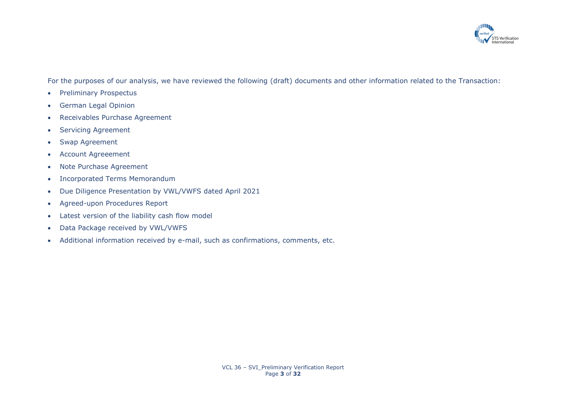

For the purposes of our analysis, we have reviewed the following (draft) documents and other information related to the Transaction:

- Preliminary Prospectus
- German Legal Opinion
- Receivables Purchase Agreement
- Servicing Agreement
- Swap Agreement
- Account Agreeement
- Note Purchase Agreement
- Incorporated Terms Memorandum
- Due Diligence Presentation by VWL/VWFS dated April 2021
- Agreed-upon Procedures Report
- Latest version of the liability cash flow model
- Data Package received by VWL/VWFS
- Additional information received by e-mail, such as confirmations, comments, etc.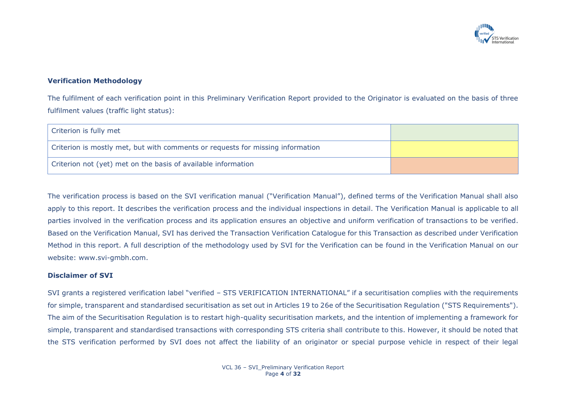

## **Verification Methodology**

The fulfilment of each verification point in this Preliminary Verification Report provided to the Originator is evaluated on the basis of three fulfilment values (traffic light status):

| Criterion is fully met                                                         |  |
|--------------------------------------------------------------------------------|--|
| Criterion is mostly met, but with comments or requests for missing information |  |
| Criterion not (yet) met on the basis of available information                  |  |

The verification process is based on the SVI verification manual ("Verification Manual"), defined terms of the Verification Manual shall also apply to this report. It describes the verification process and the individual inspections in detail. The Verification Manual is applicable to all parties involved in the verification process and its application ensures an objective and uniform verification of transactions to be verified. Based on the Verification Manual, SVI has derived the Transaction Verification Catalogue for this Transaction as described under Verification Method in this report. A full description of the methodology used by SVI for the Verification can be found in the Verification Manual on our website: www.svi-gmbh.com.

#### **Disclaimer of SVI**

SVI grants a registered verification label "verified – STS VERIFICATION INTERNATIONAL" if a securitisation complies with the requirements for simple, transparent and standardised securitisation as set out in Articles 19 to 26e of the Securitisation Regulation ("STS Requirements"). The aim of the Securitisation Regulation is to restart high-quality securitisation markets, and the intention of implementing a framework for simple, transparent and standardised transactions with corresponding STS criteria shall contribute to this. However, it should be noted that the STS verification performed by SVI does not affect the liability of an originator or special purpose vehicle in respect of their legal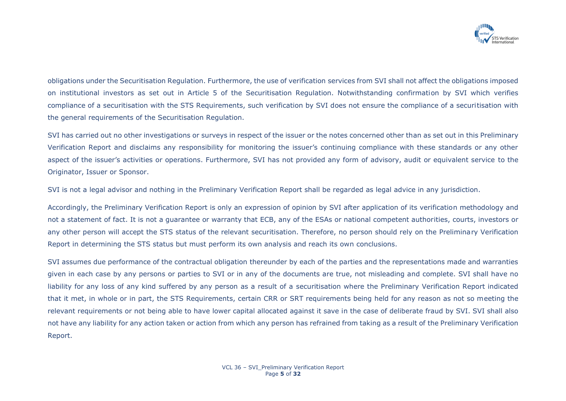

obligations under the Securitisation Regulation. Furthermore, the use of verification services from SVI shall not affect the obligations imposed on institutional investors as set out in Article 5 of the Securitisation Regulation. Notwithstanding confirmation by SVI which verifies compliance of a securitisation with the STS Requirements, such verification by SVI does not ensure the compliance of a securitisation with the general requirements of the Securitisation Regulation.

SVI has carried out no other investigations or surveys in respect of the issuer or the notes concerned other than as set out in this Preliminary Verification Report and disclaims any responsibility for monitoring the issuer's continuing compliance with these standards or any other aspect of the issuer's activities or operations. Furthermore, SVI has not provided any form of advisory, audit or equivalent service to the Originator, Issuer or Sponsor.

SVI is not a legal advisor and nothing in the Preliminary Verification Report shall be regarded as legal advice in any jurisdiction.

Accordingly, the Preliminary Verification Report is only an expression of opinion by SVI after application of its verification methodology and not a statement of fact. It is not a guarantee or warranty that ECB, any of the ESAs or national competent authorities, courts, investors or any other person will accept the STS status of the relevant securitisation. Therefore, no person should rely on the Preliminary Verification Report in determining the STS status but must perform its own analysis and reach its own conclusions.

SVI assumes due performance of the contractual obligation thereunder by each of the parties and the representations made and warranties given in each case by any persons or parties to SVI or in any of the documents are true, not misleading and complete. SVI shall have no liability for any loss of any kind suffered by any person as a result of a securitisation where the Preliminary Verification Report indicated that it met, in whole or in part, the STS Requirements, certain CRR or SRT requirements being held for any reason as not so meeting the relevant requirements or not being able to have lower capital allocated against it save in the case of deliberate fraud by SVI. SVI shall also not have any liability for any action taken or action from which any person has refrained from taking as a result of the Preliminary Verification Report.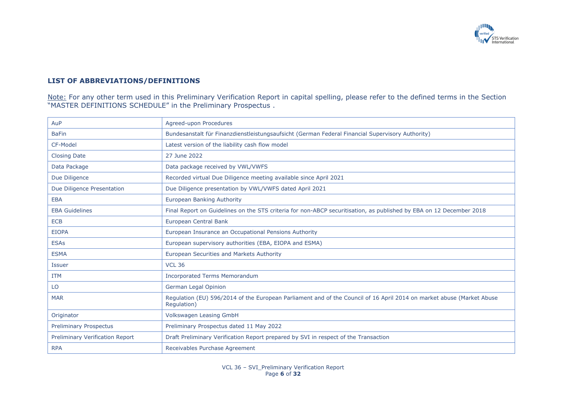

## **LIST OF ABBREVIATIONS/DEFINITIONS**

Note: For any other term used in this Preliminary Verification Report in capital spelling, please refer to the defined terms in the Section "MASTER DEFINITIONS SCHEDULE" in the Preliminary Prospectus .

| AuP                             | Agreed-upon Procedures                                                                                                               |
|---------------------------------|--------------------------------------------------------------------------------------------------------------------------------------|
| <b>BaFin</b>                    | Bundesanstalt für Finanzdienstleistungsaufsicht (German Federal Financial Supervisory Authority)                                     |
| CF-Model                        | Latest version of the liability cash flow model                                                                                      |
| <b>Closing Date</b>             | 27 June 2022                                                                                                                         |
| Data Package                    | Data package received by VWL/VWFS                                                                                                    |
| Due Diligence                   | Recorded virtual Due Diligence meeting available since April 2021                                                                    |
| Due Diligence Presentation      | Due Diligence presentation by VWL/VWFS dated April 2021                                                                              |
| <b>EBA</b>                      | <b>European Banking Authority</b>                                                                                                    |
| <b>EBA Guidelines</b>           | Final Report on Guidelines on the STS criteria for non-ABCP securitisation, as published by EBA on 12 December 2018                  |
| <b>ECB</b>                      | European Central Bank                                                                                                                |
| <b>EIOPA</b>                    | European Insurance an Occupational Pensions Authority                                                                                |
| <b>ESAs</b>                     | European supervisory authorities (EBA, EIOPA and ESMA)                                                                               |
| <b>ESMA</b>                     | European Securities and Markets Authority                                                                                            |
| <b>Issuer</b>                   | <b>VCL 36</b>                                                                                                                        |
| <b>ITM</b>                      | <b>Incorporated Terms Memorandum</b>                                                                                                 |
| LO                              | German Legal Opinion                                                                                                                 |
| <b>MAR</b>                      | Regulation (EU) 596/2014 of the European Parliament and of the Council of 16 April 2014 on market abuse (Market Abuse<br>Regulation) |
| Originator                      | <b>Volkswagen Leasing GmbH</b>                                                                                                       |
| <b>Preliminary Prospectus</b>   | Preliminary Prospectus dated 11 May 2022                                                                                             |
| Preliminary Verification Report | Draft Preliminary Verification Report prepared by SVI in respect of the Transaction                                                  |
| <b>RPA</b>                      | Receivables Purchase Agreement                                                                                                       |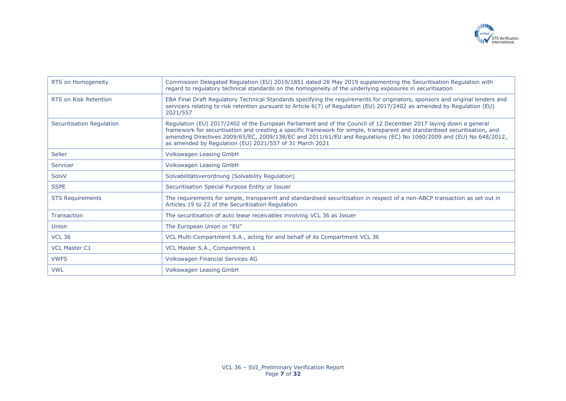

| RTS on Homogeneity           | Commission Delegated Regulation (EU) 2019/1851 dated 28 May 2019 supplementing the Securitisation Regulation with<br>regard to regulatory technical standards on the homogeneity of the underlying exposures in securitisation                                                                                                                                                                                                    |
|------------------------------|-----------------------------------------------------------------------------------------------------------------------------------------------------------------------------------------------------------------------------------------------------------------------------------------------------------------------------------------------------------------------------------------------------------------------------------|
| <b>RTS on Risk Retention</b> | EBA Final Draft Regulatory Technical Standards specifying the requirements for originators, sponsors and original lenders and<br>servicers relating to risk retention pursuant to Article 6(7) of Regulation (EU) 2017/2402 as amended by Regulation (EU)<br>2021/557                                                                                                                                                             |
| Securitisation Regulation    | Regulation (EU) 2017/2402 of the European Parliament and of the Council of 12 December 2017 laying down a general<br>framework for securitisation and creating a specific framework for simple, transparent and standardised securitisation, and<br>amending Directives 2009/65/EC, 2009/138/EC and 2011/61/EU and Regulations (EC) No 1060/2009 and (EU) No 648/2012,<br>as amended by Regulation (EU) 2021/557 of 31 March 2021 |
| Seller                       | Volkswagen Leasing GmbH                                                                                                                                                                                                                                                                                                                                                                                                           |
| Servicer                     | Volkswagen Leasing GmbH                                                                                                                                                                                                                                                                                                                                                                                                           |
| SolvV                        | Solvabilitätsverordnung (Solvability Regulation)                                                                                                                                                                                                                                                                                                                                                                                  |
| <b>SSPE</b>                  | Securitisation Special Purpose Entity or Issuer                                                                                                                                                                                                                                                                                                                                                                                   |
| <b>STS Requirements</b>      | The requirements for simple, transparent and standardised securitisation in respect of a non-ABCP transaction as set out in<br>Articles 19 to 22 of the Securitisation Regulation                                                                                                                                                                                                                                                 |
| Transaction                  | The securitisation of auto lease receivables involving VCL 36 as Issuer                                                                                                                                                                                                                                                                                                                                                           |
| Union                        | The European Union or "EU"                                                                                                                                                                                                                                                                                                                                                                                                        |
| <b>VCL 36</b>                | VCL Multi-Compartment S.A., acting for and behalf of its Compartment VCL 36                                                                                                                                                                                                                                                                                                                                                       |
| <b>VCL Master C1</b>         | VCL Master S.A., Compartment 1                                                                                                                                                                                                                                                                                                                                                                                                    |
| <b>VWFS</b>                  | Volkswagen Financial Services AG                                                                                                                                                                                                                                                                                                                                                                                                  |
| <b>VWL</b>                   | Volkswagen Leasing GmbH                                                                                                                                                                                                                                                                                                                                                                                                           |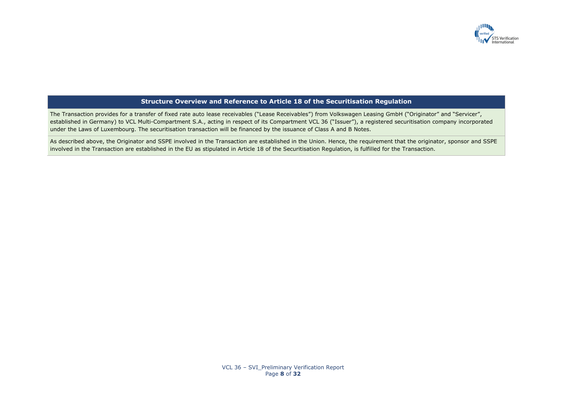

## **Structure Overview and Reference to Article 18 of the Securitisation Regulation**

The Transaction provides for a transfer of fixed rate auto lease receivables ("Lease Receivables") from Volkswagen Leasing GmbH ("Originator" and "Servicer", established in Germany) to VCL Multi-Compartment S.A., acting in respect of its Compartment VCL 36 ("Issuer"), a registered securitisation company incorporated under the Laws of Luxembourg. The securitisation transaction will be financed by the issuance of Class A and B Notes.

As described above, the Originator and SSPE involved in the Transaction are established in the Union. Hence, the requirement that the originator, sponsor and SSPE involved in the Transaction are established in the EU as stipulated in Article 18 of the Securitisation Regulation, is fulfilled for the Transaction.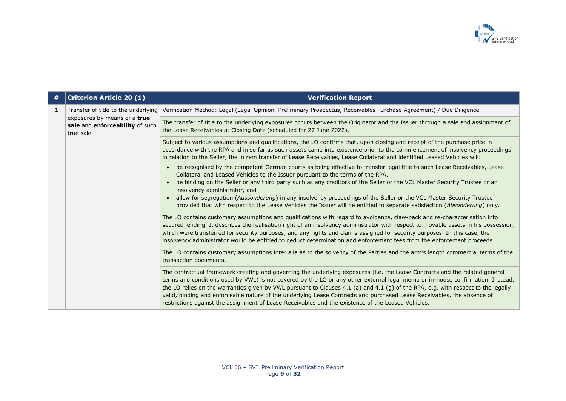

| $\#$         | <b>Criterion Article 20 (1)</b>                                              | <b>Verification Report</b>                                                                                                                                                                                                                                                                                                                                                                                                                                                                                                                                                                                                          |
|--------------|------------------------------------------------------------------------------|-------------------------------------------------------------------------------------------------------------------------------------------------------------------------------------------------------------------------------------------------------------------------------------------------------------------------------------------------------------------------------------------------------------------------------------------------------------------------------------------------------------------------------------------------------------------------------------------------------------------------------------|
| $\mathbf{1}$ | Transfer of title to the underlying                                          | Verification Method: Legal (Legal Opinion, Preliminary Prospectus, Receivables Purchase Agreement) / Due Diligence                                                                                                                                                                                                                                                                                                                                                                                                                                                                                                                  |
|              | exposures by means of a true<br>sale and enforceability of such<br>true sale | The transfer of title to the underlying exposures occurs between the Originator and the Issuer through a sale and assignment of<br>the Lease Receivables at Closing Date (scheduled for 27 June 2022).                                                                                                                                                                                                                                                                                                                                                                                                                              |
|              |                                                                              | Subject to various assumptions and qualifications, the LO confirms that, upon closing and receipt of the purchase price in<br>accordance with the RPA and in so far as such assets came into existence prior to the commencement of insolvency proceedings<br>in relation to the Seller, the in rem transfer of Lease Receivables, Lease Collateral and identified Leased Vehicles will:                                                                                                                                                                                                                                            |
|              |                                                                              | be recognised by the competent German courts as being effective to transfer legal title to such Lease Receivables, Lease<br>Collateral and Leased Vehicles to the Issuer pursuant to the terms of the RPA,<br>be binding on the Seller or any third party such as any creditors of the Seller or the VCL Master Security Trustee or an<br>insolvency administrator, and<br>allow for segregation (Aussonderung) in any insolvency proceedings of the Seller or the VCL Master Security Trustee<br>provided that with respect to the Lease Vehicles the Issuer will be entitled to separate satisfaction (Absonderung) only.         |
|              |                                                                              | The LO contains customary assumptions and qualifications with regard to avoidance, claw-back and re-characterisation into<br>secured lending. It describes the realisation right of an insolvency administrator with respect to movable assets in his possession,<br>which were transferred for security purposes, and any rights and claims assigned for security purposes. In this case, the<br>insolvency administrator would be entitled to deduct determination and enforcement fees from the enforcement proceeds.                                                                                                            |
|              |                                                                              | The LO contains customary assumptions inter alia as to the solvency of the Parties and the arm's length commercial terms of the<br>transaction documents.                                                                                                                                                                                                                                                                                                                                                                                                                                                                           |
|              |                                                                              | The contractual framework creating and governing the underlying exposures (i.e. the Lease Contracts and the related general<br>terms and conditions used by VWL) is not covered by the LO or any other external legal memo or in-house confirmation. Instead,<br>the LO relies on the warranties given by VWL pursuant to Clauses 4.1 (a) and 4.1 (g) of the RPA, e.g. with respect to the legally<br>valid, binding and enforceable nature of the underlying Lease Contracts and purchased Lease Receivables, the absence of<br>restrictions against the assignment of Lease Receivables and the existence of the Leased Vehicles. |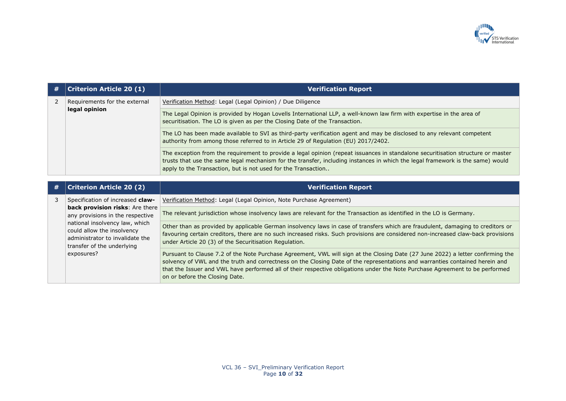

|   | <b>Criterion Article 20 (1)</b>                                                                                                                                                                                    | <b>Verification Report</b>                                                                                                                                                                                                                                                                                                                                                                                                        |
|---|--------------------------------------------------------------------------------------------------------------------------------------------------------------------------------------------------------------------|-----------------------------------------------------------------------------------------------------------------------------------------------------------------------------------------------------------------------------------------------------------------------------------------------------------------------------------------------------------------------------------------------------------------------------------|
| 2 | Requirements for the external                                                                                                                                                                                      | Verification Method: Legal (Legal Opinion) / Due Diligence                                                                                                                                                                                                                                                                                                                                                                        |
|   | legal opinion                                                                                                                                                                                                      | The Legal Opinion is provided by Hogan Lovells International LLP, a well-known law firm with expertise in the area of<br>securitisation. The LO is given as per the Closing Date of the Transaction.                                                                                                                                                                                                                              |
|   |                                                                                                                                                                                                                    | The LO has been made available to SVI as third-party verification agent and may be disclosed to any relevant competent<br>authority from among those referred to in Article 29 of Regulation (EU) 2017/2402.                                                                                                                                                                                                                      |
|   |                                                                                                                                                                                                                    | The exception from the requirement to provide a legal opinion (repeat issuances in standalone securitisation structure or master<br>trusts that use the same legal mechanism for the transfer, including instances in which the legal framework is the same) would<br>apply to the Transaction, but is not used for the Transaction                                                                                               |
|   |                                                                                                                                                                                                                    |                                                                                                                                                                                                                                                                                                                                                                                                                                   |
| # | <b>Criterion Article 20 (2)</b>                                                                                                                                                                                    | <b>Verification Report</b>                                                                                                                                                                                                                                                                                                                                                                                                        |
| 3 | Specification of increased claw-                                                                                                                                                                                   | Verification Method: Legal (Legal Opinion, Note Purchase Agreement)                                                                                                                                                                                                                                                                                                                                                               |
|   | back provision risks: Are there<br>any provisions in the respective<br>national insolvency law, which<br>could allow the insolvency<br>administrator to invalidate the<br>transfer of the underlying<br>exposures? | The relevant jurisdiction whose insolvency laws are relevant for the Transaction as identified in the LO is Germany.                                                                                                                                                                                                                                                                                                              |
|   |                                                                                                                                                                                                                    | Other than as provided by applicable German insolvency laws in case of transfers which are fraudulent, damaging to creditors or<br>favouring certain creditors, there are no such increased risks. Such provisions are considered non-increased claw-back provisions<br>under Article 20 (3) of the Securitisation Regulation.                                                                                                    |
|   |                                                                                                                                                                                                                    | Pursuant to Clause 7.2 of the Note Purchase Agreement, VWL will sign at the Closing Date (27 June 2022) a letter confirming the<br>solvency of VWL and the truth and correctness on the Closing Date of the representations and warranties contained herein and<br>that the Issuer and VWL have performed all of their respective obligations under the Note Purchase Agreement to be performed<br>on or before the Closing Date. |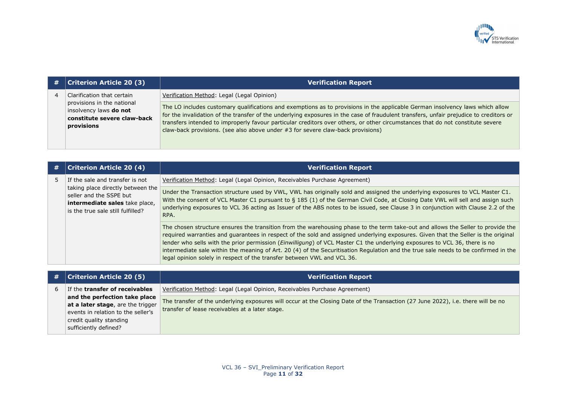

| # | $ $ Criterion Article 20 (3)                                                                      | <b>Verification Report</b>                                                                                                                                                                                                                                                                                                                                                                                                                                                                     |
|---|---------------------------------------------------------------------------------------------------|------------------------------------------------------------------------------------------------------------------------------------------------------------------------------------------------------------------------------------------------------------------------------------------------------------------------------------------------------------------------------------------------------------------------------------------------------------------------------------------------|
|   | Clarification that certain                                                                        | Verification Method: Legal (Legal Opinion)                                                                                                                                                                                                                                                                                                                                                                                                                                                     |
|   | provisions in the national<br>insolvency laws do not<br>constitute severe claw-back<br>provisions | The LO includes customary qualifications and exemptions as to provisions in the applicable German insolvency laws which allow<br>for the invalidation of the transfer of the underlying exposures in the case of fraudulent transfers, unfair prejudice to creditors or<br>transfers intended to improperly favour particular creditors over others, or other circumstances that do not constitute severe<br>claw-back provisions. (see also above under $#3$ for severe claw-back provisions) |

|  | <b>Criterion Article 20 (4)</b>                                                                                                                                        | <b>Verification Report</b>                                                                                                                                                                                                                                                                                                                                                                                                                                                                                                                                                                                             |
|--|------------------------------------------------------------------------------------------------------------------------------------------------------------------------|------------------------------------------------------------------------------------------------------------------------------------------------------------------------------------------------------------------------------------------------------------------------------------------------------------------------------------------------------------------------------------------------------------------------------------------------------------------------------------------------------------------------------------------------------------------------------------------------------------------------|
|  | If the sale and transfer is not<br>taking place directly between the<br>seller and the SSPE but<br>intermediate sales take place,<br>is the true sale still fulfilled? | Verification Method: Legal (Legal Opinion, Receivables Purchase Agreement)                                                                                                                                                                                                                                                                                                                                                                                                                                                                                                                                             |
|  |                                                                                                                                                                        | Under the Transaction structure used by VWL, VWL has originally sold and assigned the underlying exposures to VCL Master C1.<br>With the consent of VCL Master C1 pursuant to § 185 (1) of the German Civil Code, at Closing Date VWL will sell and assign such<br>underlying exposures to VCL 36 acting as Issuer of the ABS notes to be issued, see Clause 3 in conjunction with Clause 2.2 of the<br>RPA.                                                                                                                                                                                                           |
|  |                                                                                                                                                                        | The chosen structure ensures the transition from the warehousing phase to the term take-out and allows the Seller to provide the<br>required warranties and guarantees in respect of the sold and assigned underlying exposures. Given that the Seller is the original<br>lender who sells with the prior permission (Einwilligung) of VCL Master C1 the underlying exposures to VCL 36, there is no<br>intermediate sale within the meaning of Art. 20 (4) of the Securitisation Regulation and the true sale needs to be confirmed in the<br>legal opinion solely in respect of the transfer between VWL and VCL 36. |

| # | <b>Criterion Article 20 (5)</b>                                    | <b>Verification Report</b>                                                                                                                                                          |
|---|--------------------------------------------------------------------|-------------------------------------------------------------------------------------------------------------------------------------------------------------------------------------|
| 6 | If the transfer of receivables                                     | Verification Method: Legal (Legal Opinion, Receivables Purchase Agreement)                                                                                                          |
|   | and the perfection take place<br>at a later stage, are the trigger | The transfer of the underlying exposures will occur at the Closing Date of the Transaction (27 June 2022), i.e. there will be no<br>transfer of lease receivables at a later stage. |
|   | events in relation to the seller's<br>credit quality standing      |                                                                                                                                                                                     |
|   | sufficiently defined?                                              |                                                                                                                                                                                     |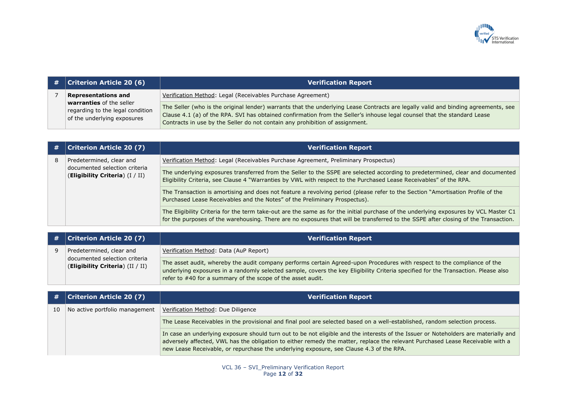

| $\#$   Criterion Article 20 (6)                                                             | <b>Verification Report</b>                                                                                                                                                                                                                                                                                                                     |
|---------------------------------------------------------------------------------------------|------------------------------------------------------------------------------------------------------------------------------------------------------------------------------------------------------------------------------------------------------------------------------------------------------------------------------------------------|
| <b>Representations and</b>                                                                  | Verification Method: Legal (Receivables Purchase Agreement)                                                                                                                                                                                                                                                                                    |
| warranties of the seller<br>regarding to the legal condition<br>of the underlying exposures | The Seller (who is the original lender) warrants that the underlying Lease Contracts are legally valid and binding agreements, see<br>Clause 4.1 (a) of the RPA. SVI has obtained confirmation from the Seller's inhouse legal counsel that the standard Lease<br>Contracts in use by the Seller do not contain any prohibition of assignment. |

| # | <b>Criterion Article 20 (7)</b>                                    | <b>Verification Report</b>                                                                                                                                                                                                                                                 |
|---|--------------------------------------------------------------------|----------------------------------------------------------------------------------------------------------------------------------------------------------------------------------------------------------------------------------------------------------------------------|
| 8 | Predetermined, clear and                                           | Verification Method: Legal (Receivables Purchase Agreement, Preliminary Prospectus)                                                                                                                                                                                        |
|   | documented selection criteria<br>(Eligibility Criteria) $(I / II)$ | The underlying exposures transferred from the Seller to the SSPE are selected according to predetermined, clear and documented<br>Eligibility Criteria, see Clause 4 "Warranties by VWL with respect to the Purchased Lease Receivables" of the RPA.                       |
|   |                                                                    | The Transaction is amortising and does not feature a revolving period (please refer to the Section "Amortisation Profile of the<br>Purchased Lease Receivables and the Notes" of the Preliminary Prospectus).                                                              |
|   |                                                                    | The Eligibility Criteria for the term take-out are the same as for the initial purchase of the underlying exposures by VCL Master C1<br>for the purposes of the warehousing. There are no exposures that will be transferred to the SSPE after closing of the Transaction. |

| $\#$ Criterion Article 20 (7)                                     | <b>Verification Report</b>                                                                                                                                                                                                                                                                                                    |
|-------------------------------------------------------------------|-------------------------------------------------------------------------------------------------------------------------------------------------------------------------------------------------------------------------------------------------------------------------------------------------------------------------------|
| Predetermined, clear and                                          | Verification Method: Data (AuP Report)                                                                                                                                                                                                                                                                                        |
| documented selection criteria<br>(Eligibility Criteria) (II / II) | The asset audit, whereby the audit company performs certain Agreed-upon Procedures with respect to the compliance of the<br>underlying exposures in a randomly selected sample, covers the key Eligibility Criteria specified for the Transaction. Please also<br>refer to #40 for a summary of the scope of the asset audit. |

|    | $\#$   Criterion Article 20 (7) | <b>Verification Report</b>                                                                                                                                                                                                                                                                                                                                       |
|----|---------------------------------|------------------------------------------------------------------------------------------------------------------------------------------------------------------------------------------------------------------------------------------------------------------------------------------------------------------------------------------------------------------|
| 10 | No active portfolio management  | Verification Method: Due Diligence                                                                                                                                                                                                                                                                                                                               |
|    |                                 | The Lease Receivables in the provisional and final pool are selected based on a well-established, random selection process.                                                                                                                                                                                                                                      |
|    |                                 | In case an underlying exposure should turn out to be not eligible and the interests of the Issuer or Noteholders are materially and<br>adversely affected, VWL has the obligation to either remedy the matter, replace the relevant Purchased Lease Receivable with a<br>new Lease Receivable, or repurchase the underlying exposure, see Clause 4.3 of the RPA. |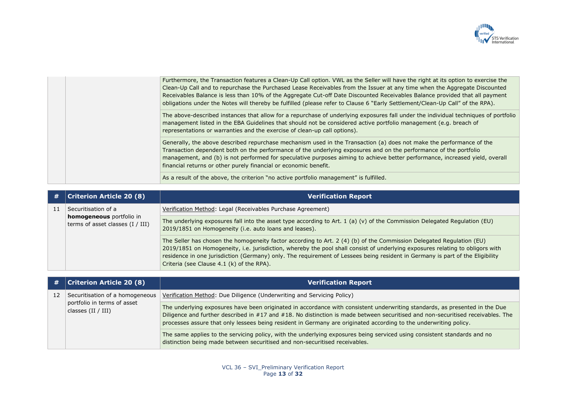

|  | Furthermore, the Transaction features a Clean-Up Call option. VWL as the Seller will have the right at its option to exercise the<br>Clean-Up Call and to repurchase the Purchased Lease Receivables from the Issuer at any time when the Aggregate Discounted<br>Receivables Balance is less than 10% of the Aggregate Cut-off Date Discounted Receivables Balance provided that all payment<br>obligations under the Notes will thereby be fulfilled (please refer to Clause 6 "Early Settlement/Clean-Up Call" of the RPA). |
|--|--------------------------------------------------------------------------------------------------------------------------------------------------------------------------------------------------------------------------------------------------------------------------------------------------------------------------------------------------------------------------------------------------------------------------------------------------------------------------------------------------------------------------------|
|  | The above-described instances that allow for a repurchase of underlying exposures fall under the individual techniques of portfolio<br>management listed in the EBA Guidelines that should not be considered active portfolio management (e.g. breach of<br>representations or warranties and the exercise of clean-up call options).                                                                                                                                                                                          |
|  | Generally, the above described repurchase mechanism used in the Transaction (a) does not make the performance of the<br>Transaction dependent both on the performance of the underlying exposures and on the performance of the portfolio<br>management, and (b) is not performed for speculative purposes aiming to achieve better performance, increased yield, overall<br>financial returns or other purely financial or economic benefit.                                                                                  |
|  | As a result of the above, the criterion "no active portfolio management" is fulfilled.                                                                                                                                                                                                                                                                                                                                                                                                                                         |

| # | <b>Criterion Article 20 (8)</b>                                | <b>Verification Report</b>                                                                                                                                                                                                                                                                                                                                                                                                          |
|---|----------------------------------------------------------------|-------------------------------------------------------------------------------------------------------------------------------------------------------------------------------------------------------------------------------------------------------------------------------------------------------------------------------------------------------------------------------------------------------------------------------------|
|   | Securitisation of a                                            | Verification Method: Legal (Receivables Purchase Agreement)                                                                                                                                                                                                                                                                                                                                                                         |
|   | homogeneous portfolio in<br>terms of asset classes $(I / III)$ | The underlying exposures fall into the asset type according to Art. 1 (a) (v) of the Commission Delegated Regulation (EU)<br>2019/1851 on Homogeneity (i.e. auto loans and leases).                                                                                                                                                                                                                                                 |
|   |                                                                | The Seller has chosen the homogeneity factor according to Art. 2 (4) (b) of the Commission Delegated Regulation (EU)<br>2019/1851 on Homogeneity, i.e. jurisdiction, whereby the pool shall consist of underlying exposures relating to obligors with<br>residence in one jurisdiction (Germany) only. The requirement of Lessees being resident in Germany is part of the Eligibility<br>Criteria (see Clause 4.1 (k) of the RPA). |

| #  | <b>Criterion Article 20 (8)</b>                     | <b>Verification Report</b>                                                                                                                                                                                                                                                                                                                                                          |
|----|-----------------------------------------------------|-------------------------------------------------------------------------------------------------------------------------------------------------------------------------------------------------------------------------------------------------------------------------------------------------------------------------------------------------------------------------------------|
| 12 | Securitisation of a homogeneous                     | Verification Method: Due Diligence (Underwriting and Servicing Policy)                                                                                                                                                                                                                                                                                                              |
|    | portfolio in terms of asset<br>classes $(II / III)$ | The underlying exposures have been originated in accordance with consistent underwriting standards, as presented in the Due<br>Diligence and further described in #17 and #18. No distinction is made between securitised and non-securitised receivables. The<br>processes assure that only lessees being resident in Germany are originated according to the underwriting policy. |
|    |                                                     | The same applies to the servicing policy, with the underlying exposures being serviced using consistent standards and no<br>distinction being made between securitised and non-securitised receivables.                                                                                                                                                                             |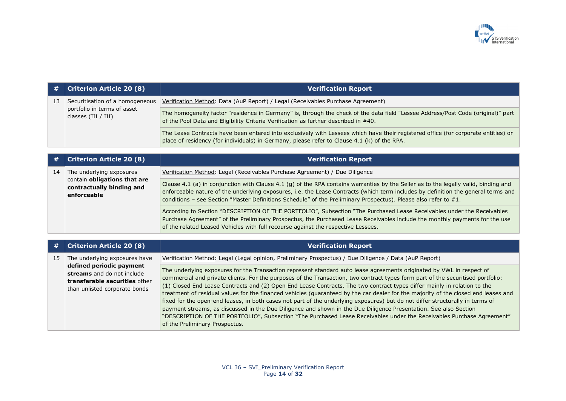

| #  | <b>Criterion Article 20 (8)</b>                                                         | <b>Verification Report</b>                                                                                                                                                                                                        |
|----|-----------------------------------------------------------------------------------------|-----------------------------------------------------------------------------------------------------------------------------------------------------------------------------------------------------------------------------------|
| 13 | Securitisation of a homogeneous<br>portfolio in terms of asset<br>classes $(III / III)$ | Verification Method: Data (AuP Report) / Legal (Receivables Purchase Agreement)                                                                                                                                                   |
|    |                                                                                         | The homogeneity factor "residence in Germany" is, through the check of the data field "Lessee Address/Post Code (original)" part<br>of the Pool Data and Eligibility Criteria Verification as further described in #40.           |
|    |                                                                                         | The Lease Contracts have been entered into exclusively with Lessees which have their registered office (for corporate entities) or<br>place of residency (for individuals) in Germany, please refer to Clause 4.1 (k) of the RPA. |

| #  | <b>Criterion Article 20 (8)</b>                                                                      | <b>Verification Report</b>                                                                                                                                                                                                                                                                                                                                                                  |
|----|------------------------------------------------------------------------------------------------------|---------------------------------------------------------------------------------------------------------------------------------------------------------------------------------------------------------------------------------------------------------------------------------------------------------------------------------------------------------------------------------------------|
| 14 | The underlying exposures<br>contain obligations that are<br>contractually binding and<br>enforceable | Verification Method: Legal (Receivables Purchase Agreement) / Due Diligence                                                                                                                                                                                                                                                                                                                 |
|    |                                                                                                      | Clause 4.1 (a) in conjunction with Clause 4.1 (g) of the RPA contains warranties by the Seller as to the legally valid, binding and<br>enforceable nature of the underlying exposures, i.e. the Lease Contracts (which term includes by definition the general terms and<br>conditions - see Section "Master Definitions Schedule" of the Preliminary Prospectus). Please also refer to #1. |
|    |                                                                                                      | According to Section "DESCRIPTION OF THE PORTFOLIO", Subsection "The Purchased Lease Receivables under the Receivables<br>Purchase Agreement" of the Preliminary Prospectus, the Purchased Lease Receivables include the monthly payments for the use<br>of the related Leased Vehicles with full recourse against the respective Lessees.                                                  |

| #  | <b>Criterion Article 20 (8)</b>                                                                                          | <b>Verification Report</b>                                                                                                                                                                                                                                                                                                                                                                                                                                                                                                                                                                                                                                                                                                                                                                                                                                                                                                                 |
|----|--------------------------------------------------------------------------------------------------------------------------|--------------------------------------------------------------------------------------------------------------------------------------------------------------------------------------------------------------------------------------------------------------------------------------------------------------------------------------------------------------------------------------------------------------------------------------------------------------------------------------------------------------------------------------------------------------------------------------------------------------------------------------------------------------------------------------------------------------------------------------------------------------------------------------------------------------------------------------------------------------------------------------------------------------------------------------------|
| 15 | The underlying exposures have                                                                                            | Verification Method: Legal (Legal opinion, Preliminary Prospectus) / Due Diligence / Data (AuP Report)                                                                                                                                                                                                                                                                                                                                                                                                                                                                                                                                                                                                                                                                                                                                                                                                                                     |
|    | defined periodic payment<br>streams and do not include<br>transferable securities other<br>than unlisted corporate bonds | The underlying exposures for the Transaction represent standard auto lease agreements originated by VWL in respect of<br>commercial and private clients. For the purposes of the Transaction, two contract types form part of the securitised portfolio:<br>(1) Closed End Lease Contracts and (2) Open End Lease Contracts. The two contract types differ mainly in relation to the<br>treatment of residual values for the financed vehicles (guaranteed by the car dealer for the majority of the closed end leases and<br>fixed for the open-end leases, in both cases not part of the underlying exposures) but do not differ structurally in terms of<br>payment streams, as discussed in the Due Diligence and shown in the Due Diligence Presentation. See also Section<br>"DESCRIPTION OF THE PORTFOLIO", Subsection "The Purchased Lease Receivables under the Receivables Purchase Agreement"<br>of the Preliminary Prospectus. |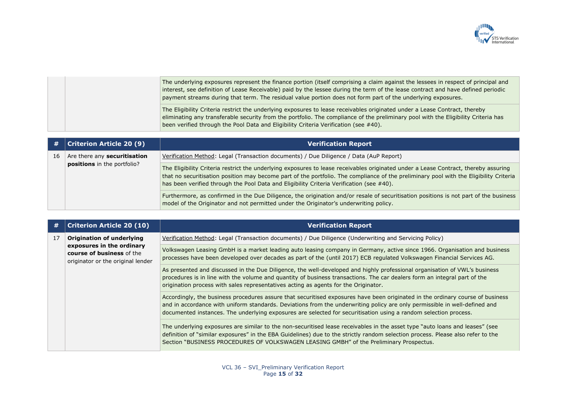

| The underlying exposures represent the finance portion (itself comprising a claim against the lessees in respect of principal and<br>interest, see definition of Lease Receivable) paid by the lessee during the term of the lease contract and have defined periodic<br>payment streams during that term. The residual value portion does not form part of the underlying exposures. |
|---------------------------------------------------------------------------------------------------------------------------------------------------------------------------------------------------------------------------------------------------------------------------------------------------------------------------------------------------------------------------------------|
| The Eligibility Criteria restrict the underlying exposures to lease receivables originated under a Lease Contract, thereby<br>eliminating any transferable security from the portfolio. The compliance of the preliminary pool with the Eligibility Criteria has<br>been verified through the Pool Data and Eligibility Criteria Verification (see #40).                              |

| #  | $\vert$ Criterion Article 20 (9) $\vert$                           | <b>Verification Report</b>                                                                                                                                                                                                                                                                                                                                                |
|----|--------------------------------------------------------------------|---------------------------------------------------------------------------------------------------------------------------------------------------------------------------------------------------------------------------------------------------------------------------------------------------------------------------------------------------------------------------|
| 16 | Are there any <b>securitisation</b><br>positions in the portfolio? | Verification Method: Legal (Transaction documents) / Due Diligence / Data (AuP Report)                                                                                                                                                                                                                                                                                    |
|    |                                                                    | The Eligibility Criteria restrict the underlying exposures to lease receivables originated under a Lease Contract, thereby assuring<br>that no securitisation position may become part of the portfolio. The compliance of the preliminary pool with the Eligibility Criteria<br>has been verified through the Pool Data and Eligibility Criteria Verification (see #40). |
|    |                                                                    | Furthermore, as confirmed in the Due Diligence, the origination and/or resale of securitisation positions is not part of the business<br>model of the Originator and not permitted under the Originator's underwriting policy.                                                                                                                                            |

| #  | <b>Criterion Article 20 (10)</b>                                                            | <b>Verification Report</b>                                                                                                                                                                                                                                                                                                                                                       |
|----|---------------------------------------------------------------------------------------------|----------------------------------------------------------------------------------------------------------------------------------------------------------------------------------------------------------------------------------------------------------------------------------------------------------------------------------------------------------------------------------|
| 17 | <b>Origination of underlying</b>                                                            | Verification Method: Legal (Transaction documents) / Due Diligence (Underwriting and Servicing Policy)                                                                                                                                                                                                                                                                           |
|    | exposures in the ordinary<br>course of business of the<br>originator or the original lender | Volkswagen Leasing GmbH is a market leading auto leasing company in Germany, active since 1966. Organisation and business<br>processes have been developed over decades as part of the (until 2017) ECB regulated Volkswagen Financial Services AG.                                                                                                                              |
|    |                                                                                             | As presented and discussed in the Due Diligence, the well-developed and highly professional organisation of VWL's business<br>procedures is in line with the volume and quantity of business transactions. The car dealers form an integral part of the<br>origination process with sales representatives acting as agents for the Originator.                                   |
|    |                                                                                             | Accordingly, the business procedures assure that securitised exposures have been originated in the ordinary course of business<br>and in accordance with uniform standards. Deviations from the underwriting policy are only permissible in well-defined and<br>documented instances. The underlying exposures are selected for securitisation using a random selection process. |
|    |                                                                                             | The underlying exposures are similar to the non-securitised lease receivables in the asset type "auto loans and leases" (see<br>definition of "similar exposures" in the EBA Guidelines) due to the strictly random selection process. Please also refer to the<br>Section "BUSINESS PROCEDURES OF VOLKSWAGEN LEASING GMBH" of the Preliminary Prospectus.                       |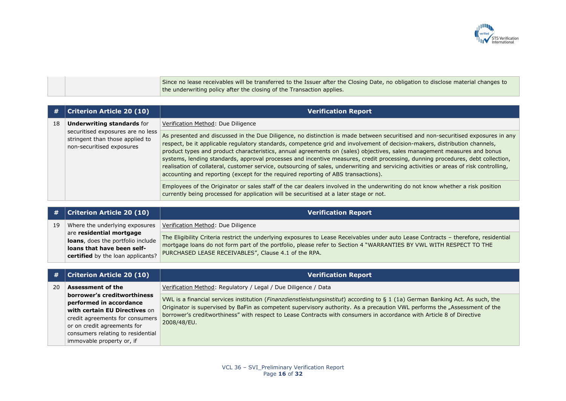

Since no lease receivables will be transferred to the Issuer after the Closing Date, no obligation to disclose material changes to the underwriting policy after the closing of the Transaction applies.

|    | <b>Criterion Article 20 (10)</b>                                                                                                       | <b>Verification Report</b>                                                                                                                                                                                                                                                                                                                                                                                                                                                                                                                                                                                                                                                                                                                                 |
|----|----------------------------------------------------------------------------------------------------------------------------------------|------------------------------------------------------------------------------------------------------------------------------------------------------------------------------------------------------------------------------------------------------------------------------------------------------------------------------------------------------------------------------------------------------------------------------------------------------------------------------------------------------------------------------------------------------------------------------------------------------------------------------------------------------------------------------------------------------------------------------------------------------------|
| 18 | <b>Underwriting standards for</b><br>securitised exposures are no less<br>stringent than those applied to<br>non-securitised exposures | Verification Method: Due Diligence                                                                                                                                                                                                                                                                                                                                                                                                                                                                                                                                                                                                                                                                                                                         |
|    |                                                                                                                                        | As presented and discussed in the Due Diligence, no distinction is made between securitised and non-securitised exposures in any<br>respect, be it applicable regulatory standards, competence grid and involvement of decision-makers, distribution channels,<br>product types and product characteristics, annual agreements on (sales) objectives, sales management measures and bonus<br>systems, lending standards, approval processes and incentive measures, credit processing, dunning procedures, debt collection,<br>realisation of collateral, customer service, outsourcing of sales, underwriting and servicing activities or areas of risk controlling,<br>accounting and reporting (except for the required reporting of ABS transactions). |
|    |                                                                                                                                        | Employees of the Originator or sales staff of the car dealers involved in the underwriting do not know whether a risk position<br>currently being processed for application will be securitised at a later stage or not.                                                                                                                                                                                                                                                                                                                                                                                                                                                                                                                                   |

|    | $\#$   Criterion Article 20 (10)                                                                                                 | <b>Verification Report</b>                                                                                                                                                                                                                                                                                        |
|----|----------------------------------------------------------------------------------------------------------------------------------|-------------------------------------------------------------------------------------------------------------------------------------------------------------------------------------------------------------------------------------------------------------------------------------------------------------------|
| 19 | Where the underlying exposures                                                                                                   | Verification Method: Due Diligence                                                                                                                                                                                                                                                                                |
|    | are residential mortgage<br>loans, does the portfolio include<br>loans that have been self-<br>certified by the loan applicants? | The Eligibility Criteria restrict the underlying exposures to Lease Receivables under auto Lease Contracts - therefore, residential<br>mortgage loans do not form part of the portfolio, please refer to Section 4 "WARRANTIES BY VWL WITH RESPECT TO THE<br>PURCHASED LEASE RECEIVABLES", Clause 4.1 of the RPA. |

| <b>Verification Report</b>                                                                                                                                                                                                                                                                                                                                                           |
|--------------------------------------------------------------------------------------------------------------------------------------------------------------------------------------------------------------------------------------------------------------------------------------------------------------------------------------------------------------------------------------|
| Verification Method: Regulatory / Legal / Due Diligence / Data                                                                                                                                                                                                                                                                                                                       |
| VWL is a financial services institution (Finanzdienstleistungsinstitut) according to § 1 (1a) German Banking Act. As such, the<br>Originator is supervised by BaFin as competent supervisory authority. As a precaution VWL performs the "Assessment of the<br>borrower's creditworthiness" with respect to Lease Contracts with consumers in accordance with Article 8 of Directive |
|                                                                                                                                                                                                                                                                                                                                                                                      |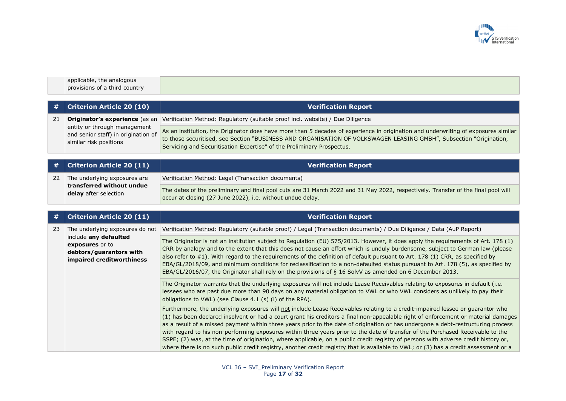

| applicable, the analogous     |  |
|-------------------------------|--|
| provisions of a third country |  |

| #   Criterion Article 20 (10)                                                                 | <b>Verification Report</b>                                                                                                                                                                                                                                                                                                         |
|-----------------------------------------------------------------------------------------------|------------------------------------------------------------------------------------------------------------------------------------------------------------------------------------------------------------------------------------------------------------------------------------------------------------------------------------|
|                                                                                               | <b>Originator's experience</b> (as an <i>Verification Method: Regulatory (suitable proof incl. website) / Due Diligence</i>                                                                                                                                                                                                        |
| entity or through management<br>and senior staff) in origination of<br>similar risk positions | As an institution, the Originator does have more than 5 decades of experience in origination and underwriting of exposures similar<br>to those securitised, see Section "BUSINESS AND ORGANISATION OF VOLKSWAGEN LEASING GMBH", Subsection "Origination,<br>Servicing and Securitisation Expertise" of the Preliminary Prospectus. |

|    | $\#$ Criterion Article 20 (11)                     | <b>Verification Report</b>                                                                                                                                                                      |
|----|----------------------------------------------------|-------------------------------------------------------------------------------------------------------------------------------------------------------------------------------------------------|
| 22 | The underlying exposures are                       | Verification Method: Legal (Transaction documents)                                                                                                                                              |
|    | transferred without undue<br>delay after selection | The dates of the preliminary and final pool cuts are 31 March 2022 and 31 May 2022, respectively. Transfer of the final pool will<br>occur at closing (27 June 2022), i.e. without undue delay. |

| #  | <b>Criterion Article 20 (11)</b>                                                                 | <b>Verification Report</b>                                                                                                                                                                                                                                                                                                                                                                                                                                                                                                                                                                                                                                                                                                                                                                                                  |
|----|--------------------------------------------------------------------------------------------------|-----------------------------------------------------------------------------------------------------------------------------------------------------------------------------------------------------------------------------------------------------------------------------------------------------------------------------------------------------------------------------------------------------------------------------------------------------------------------------------------------------------------------------------------------------------------------------------------------------------------------------------------------------------------------------------------------------------------------------------------------------------------------------------------------------------------------------|
| 23 |                                                                                                  | The underlying exposures do not   Verification Method: Regulatory (suitable proof) / Legal (Transaction documents) / Due Diligence / Data (AuP Report)                                                                                                                                                                                                                                                                                                                                                                                                                                                                                                                                                                                                                                                                      |
|    | include any defaulted<br>exposures or to<br>debtors/guarantors with<br>impaired creditworthiness | The Originator is not an institution subject to Regulation (EU) 575/2013. However, it does apply the requirements of Art. 178 (1)<br>CRR by analogy and to the extent that this does not cause an effort which is unduly burdensome, subject to German law (please<br>also refer to #1). With regard to the requirements of the definition of default pursuant to Art. 178 (1) CRR, as specified by<br>EBA/GL/2018/09, and minimum conditions for reclassification to a non-defaulted status pursuant to Art. 178 (5), as specified by<br>EBA/GL/2016/07, the Originator shall rely on the provisions of § 16 SolvV as amended on 6 December 2013.                                                                                                                                                                          |
|    |                                                                                                  | The Originator warrants that the underlying exposures will not include Lease Receivables relating to exposures in default (i.e.<br>lessees who are past due more than 90 days on any material obligation to VWL or who VWL considers as unlikely to pay their<br>obligations to VWL) (see Clause 4.1 (s) (i) of the RPA).                                                                                                                                                                                                                                                                                                                                                                                                                                                                                                   |
|    |                                                                                                  | Furthermore, the underlying exposures will not include Lease Receivables relating to a credit-impaired lessee or guarantor who<br>(1) has been declared insolvent or had a court grant his creditors a final non-appealable right of enforcement or material damages<br>as a result of a missed payment within three years prior to the date of origination or has undergone a debt-restructuring process<br>with regard to his non-performing exposures within three years prior to the date of transfer of the Purchased Receivable to the<br>SSPE; (2) was, at the time of origination, where applicable, on a public credit registry of persons with adverse credit history or,<br>where there is no such public credit registry, another credit registry that is available to VWL; or (3) has a credit assessment or a |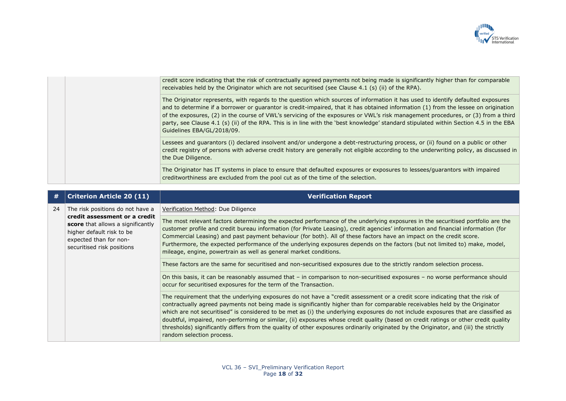

|  | credit score indicating that the risk of contractually agreed payments not being made is significantly higher than for comparable<br>receivables held by the Originator which are not securitised (see Clause 4.1 (s) (ii) of the RPA).                                                                                                                                                                                                                                                                                                                                             |
|--|-------------------------------------------------------------------------------------------------------------------------------------------------------------------------------------------------------------------------------------------------------------------------------------------------------------------------------------------------------------------------------------------------------------------------------------------------------------------------------------------------------------------------------------------------------------------------------------|
|  | The Originator represents, with regards to the question which sources of information it has used to identify defaulted exposures<br>and to determine if a borrower or guarantor is credit-impaired, that it has obtained information (1) from the lessee on origination<br>of the exposures, (2) in the course of VWL's servicing of the exposures or VWL's risk management procedures, or (3) from a third<br>party, see Clause 4.1 (s) (ii) of the RPA. This is in line with the 'best knowledge' standard stipulated within Section 4.5 in the EBA<br>Guidelines EBA/GL/2018/09. |
|  | Lessees and guarantors (i) declared insolvent and/or undergone a debt-restructuring process, or (ii) found on a public or other<br>credit registry of persons with adverse credit history are generally not eligible according to the underwriting policy, as discussed in<br>the Due Diligence.                                                                                                                                                                                                                                                                                    |
|  | The Originator has IT systems in place to ensure that defaulted exposures or exposures to lessees/guarantors with impaired<br>creditworthiness are excluded from the pool cut as of the time of the selection.                                                                                                                                                                                                                                                                                                                                                                      |

| #  | <b>Criterion Article 20 (11)</b>                                                                                                                        | <b>Verification Report</b>                                                                                                                                                                                                                                                                                                                                                                                                                                                                                                                                                                                                                                                                                     |
|----|---------------------------------------------------------------------------------------------------------------------------------------------------------|----------------------------------------------------------------------------------------------------------------------------------------------------------------------------------------------------------------------------------------------------------------------------------------------------------------------------------------------------------------------------------------------------------------------------------------------------------------------------------------------------------------------------------------------------------------------------------------------------------------------------------------------------------------------------------------------------------------|
| 24 | The risk positions do not have a                                                                                                                        | Verification Method: Due Diligence                                                                                                                                                                                                                                                                                                                                                                                                                                                                                                                                                                                                                                                                             |
|    | credit assessment or a credit<br>score that allows a significantly<br>higher default risk to be<br>expected than for non-<br>securitised risk positions | The most relevant factors determining the expected performance of the underlying exposures in the securitised portfolio are the<br>customer profile and credit bureau information (for Private Leasing), credit agencies' information and financial information (for<br>Commercial Leasing) and past payment behaviour (for both). All of these factors have an impact on the credit score.<br>Furthermore, the expected performance of the underlying exposures depends on the factors (but not limited to) make, model,<br>mileage, engine, powertrain as well as general market conditions.                                                                                                                 |
|    |                                                                                                                                                         | These factors are the same for securitised and non-securitised exposures due to the strictly random selection process.                                                                                                                                                                                                                                                                                                                                                                                                                                                                                                                                                                                         |
|    |                                                                                                                                                         | On this basis, it can be reasonably assumed that – in comparison to non-securitised exposures – no worse performance should<br>occur for securitised exposures for the term of the Transaction.                                                                                                                                                                                                                                                                                                                                                                                                                                                                                                                |
|    |                                                                                                                                                         | The requirement that the underlying exposures do not have a "credit assessment or a credit score indicating that the risk of<br>contractually agreed payments not being made is significantly higher than for comparable receivables held by the Originator<br>which are not securitised" is considered to be met as (i) the underlying exposures do not include exposures that are classified as<br>doubtful, impaired, non-performing or similar, (ii) exposures whose credit quality (based on credit ratings or other credit quality<br>thresholds) significantly differs from the quality of other exposures ordinarily originated by the Originator, and (iii) the strictly<br>random selection process. |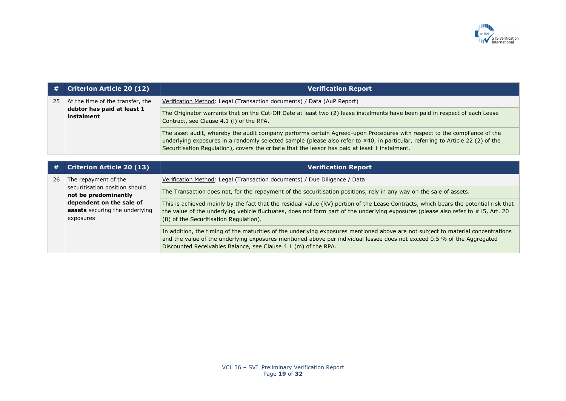

| #  | <b>Criterion Article 20 (12)</b>                                               | <b>Verification Report</b>                                                                                                                                                                                                                                                                                                                                     |
|----|--------------------------------------------------------------------------------|----------------------------------------------------------------------------------------------------------------------------------------------------------------------------------------------------------------------------------------------------------------------------------------------------------------------------------------------------------------|
| 25 | At the time of the transfer, the                                               | Verification Method: Legal (Transaction documents) / Data (AuP Report)                                                                                                                                                                                                                                                                                         |
|    | debtor has paid at least 1<br>instalment                                       | The Originator warrants that on the Cut-Off Date at least two (2) lease instalments have been paid in respect of each Lease<br>Contract, see Clause 4.1 (I) of the RPA.                                                                                                                                                                                        |
|    |                                                                                | The asset audit, whereby the audit company performs certain Agreed-upon Procedures with respect to the compliance of the<br>underlying exposures in a randomly selected sample (please also refer to #40, in particular, referring to Article 22 (2) of the<br>Securitisation Regulation), covers the criteria that the lessor has paid at least 1 instalment. |
|    |                                                                                |                                                                                                                                                                                                                                                                                                                                                                |
| #  | <b>Criterion Article 20 (13)</b>                                               | <b>Verification Report</b>                                                                                                                                                                                                                                                                                                                                     |
| 26 | The repayment of the                                                           | Verification Method: Legal (Transaction documents) / Due Diligence / Data                                                                                                                                                                                                                                                                                      |
|    | securitisation position should<br>not be predominantly                         | The Transaction does not, for the repayment of the securitisation positions, rely in any way on the sale of assets.                                                                                                                                                                                                                                            |
|    | dependent on the sale of<br><b>assets</b> securing the underlying<br>exposures | This is achieved mainly by the fact that the residual value (RV) portion of the Lease Contracts, which bears the potential risk that<br>the value of the underlying vehicle fluctuates, does not form part of the underlying exposures (please also refer to #15, Art. 20<br>(8) of the Securitisation Regulation).                                            |
|    |                                                                                | In addition, the timing of the maturities of the underlying exposures mentioned above are not subject to material concentrations<br>and the value of the underlying exposures mentioned above per individual lessee does not exceed 0.5 % of the Aggregated<br>Discounted Receivables Balance, see Clause 4.1 (m) of the RPA.                                  |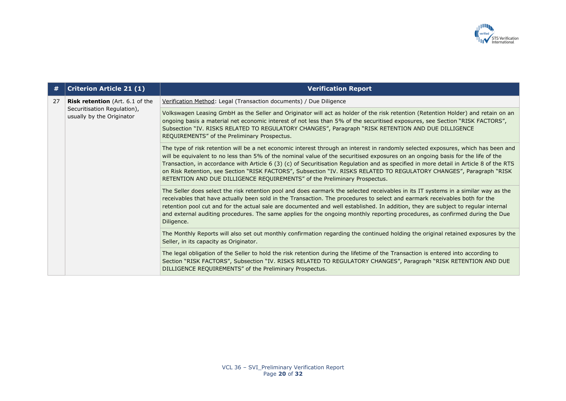

| #  | <b>Criterion Article 21 (1)</b>                          | <b>Verification Report</b>                                                                                                                                                                                                                                                                                                                                                                                                                                                                                                                                                                                          |
|----|----------------------------------------------------------|---------------------------------------------------------------------------------------------------------------------------------------------------------------------------------------------------------------------------------------------------------------------------------------------------------------------------------------------------------------------------------------------------------------------------------------------------------------------------------------------------------------------------------------------------------------------------------------------------------------------|
| 27 | <b>Risk retention</b> (Art. 6.1 of the                   | Verification Method: Legal (Transaction documents) / Due Diligence                                                                                                                                                                                                                                                                                                                                                                                                                                                                                                                                                  |
|    | Securitisation Regulation),<br>usually by the Originator | Volkswagen Leasing GmbH as the Seller and Originator will act as holder of the risk retention (Retention Holder) and retain on an<br>ongoing basis a material net economic interest of not less than 5% of the securitised exposures, see Section "RISK FACTORS",<br>Subsection "IV. RISKS RELATED TO REGULATORY CHANGES", Paragraph "RISK RETENTION AND DUE DILLIGENCE<br>REQUIREMENTS" of the Preliminary Prospectus.                                                                                                                                                                                             |
|    |                                                          | The type of risk retention will be a net economic interest through an interest in randomly selected exposures, which has been and<br>will be equivalent to no less than 5% of the nominal value of the securitised exposures on an ongoing basis for the life of the<br>Transaction, in accordance with Article 6 (3) (c) of Securitisation Regulation and as specified in more detail in Article 8 of the RTS<br>on Risk Retention, see Section "RISK FACTORS", Subsection "IV. RISKS RELATED TO REGULATORY CHANGES", Paragraph "RISK<br>RETENTION AND DUE DILLIGENCE REQUIREMENTS" of the Preliminary Prospectus. |
|    |                                                          | The Seller does select the risk retention pool and does earmark the selected receivables in its IT systems in a similar way as the<br>receivables that have actually been sold in the Transaction. The procedures to select and earmark receivables both for the<br>retention pool cut and for the actual sale are documented and well established. In addition, they are subject to regular internal<br>and external auditing procedures. The same applies for the ongoing monthly reporting procedures, as confirmed during the Due<br>Diligence.                                                                 |
|    |                                                          | The Monthly Reports will also set out monthly confirmation regarding the continued holding the original retained exposures by the<br>Seller, in its capacity as Originator.                                                                                                                                                                                                                                                                                                                                                                                                                                         |
|    |                                                          | The legal obligation of the Seller to hold the risk retention during the lifetime of the Transaction is entered into according to<br>Section "RISK FACTORS", Subsection "IV. RISKS RELATED TO REGULATORY CHANGES", Paragraph "RISK RETENTION AND DUE<br>DILLIGENCE REQUIREMENTS" of the Preliminary Prospectus.                                                                                                                                                                                                                                                                                                     |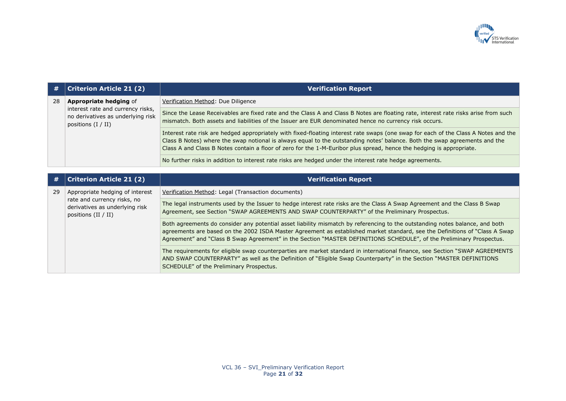

| #  | <b>Criterion Article 21 (2)</b>                                                                                           | <b>Verification Report</b>                                                                                                                                                                                                                                                                                                                                                                |
|----|---------------------------------------------------------------------------------------------------------------------------|-------------------------------------------------------------------------------------------------------------------------------------------------------------------------------------------------------------------------------------------------------------------------------------------------------------------------------------------------------------------------------------------|
| 28 | <b>Appropriate hedging of</b>                                                                                             | Verification Method: Due Diligence                                                                                                                                                                                                                                                                                                                                                        |
|    | interest rate and currency risks,<br>no derivatives as underlying risk<br>positions $(I / II)$                            | Since the Lease Receivables are fixed rate and the Class A and Class B Notes are floating rate, interest rate risks arise from such<br>mismatch. Both assets and liabilities of the Issuer are EUR denominated hence no currency risk occurs.                                                                                                                                             |
|    |                                                                                                                           | Interest rate risk are hedged appropriately with fixed-floating interest rate swaps (one swap for each of the Class A Notes and the<br>Class B Notes) where the swap notional is always equal to the outstanding notes' balance. Both the swap agreements and the<br>Class A and Class B Notes contain a floor of zero for the 1-M-Euribor plus spread, hence the hedging is appropriate. |
|    |                                                                                                                           | No further risks in addition to interest rate risks are hedged under the interest rate hedge agreements.                                                                                                                                                                                                                                                                                  |
|    |                                                                                                                           |                                                                                                                                                                                                                                                                                                                                                                                           |
|    | <b>Criterion Article 21 (2)</b>                                                                                           | <b>Verification Report</b>                                                                                                                                                                                                                                                                                                                                                                |
| 29 | Appropriate hedging of interest<br>rate and currency risks, no<br>derivatives as underlying risk<br>positions $(II / II)$ | Verification Method: Legal (Transaction documents)                                                                                                                                                                                                                                                                                                                                        |
|    |                                                                                                                           | The legal instruments used by the Issuer to hedge interest rate risks are the Class A Swap Agreement and the Class B Swap<br>Agreement, see Section "SWAP AGREEMENTS AND SWAP COUNTERPARTY" of the Preliminary Prospectus.                                                                                                                                                                |
|    |                                                                                                                           | Both agreements do consider any potential asset liability mismatch by referencing to the outstanding notes balance, and both<br>agreements are based on the 2002 ISDA Master Agreement as established market standard, see the Definitions of "Class A Swap<br>Agreement" and "Class B Swap Agreement" in the Section "MASTER DEFINITIONS SCHEDULE", of the Preliminary Prospectus.       |
|    |                                                                                                                           | The requirements for eligible swap counterparties are market standard in international finance, see Section "SWAP AGREEMENTS<br>AND SWAP COUNTERPARTY" as well as the Definition of "Eligible Swap Counterparty" in the Section "MASTER DEFINITIONS<br>SCHEDULE" of the Preliminary Prospectus.                                                                                           |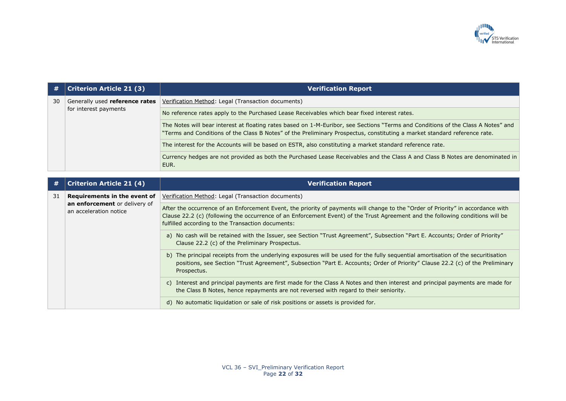

| #  | <b>Criterion Article 21 (3)</b>                         | <b>Verification Report</b>                                                                                                                                                                                                                                                                                              |
|----|---------------------------------------------------------|-------------------------------------------------------------------------------------------------------------------------------------------------------------------------------------------------------------------------------------------------------------------------------------------------------------------------|
| 30 | Generally used reference rates                          | Verification Method: Legal (Transaction documents)                                                                                                                                                                                                                                                                      |
|    | for interest payments                                   | No reference rates apply to the Purchased Lease Receivables which bear fixed interest rates.                                                                                                                                                                                                                            |
|    |                                                         | The Notes will bear interest at floating rates based on 1-M-Euribor, see Sections "Terms and Conditions of the Class A Notes" and<br>"Terms and Conditions of the Class B Notes" of the Preliminary Prospectus, constituting a market standard reference rate.                                                          |
|    |                                                         | The interest for the Accounts will be based on ESTR, also constituting a market standard reference rate.                                                                                                                                                                                                                |
|    |                                                         | Currency hedges are not provided as both the Purchased Lease Receivables and the Class A and Class B Notes are denominated in<br>EUR.                                                                                                                                                                                   |
|    |                                                         |                                                                                                                                                                                                                                                                                                                         |
| #  | <b>Criterion Article 21 (4)</b>                         | <b>Verification Report</b>                                                                                                                                                                                                                                                                                              |
| 31 | Requirements in the event of                            | Verification Method: Legal (Transaction documents)                                                                                                                                                                                                                                                                      |
|    | an enforcement or delivery of<br>an acceleration notice | After the occurrence of an Enforcement Event, the priority of payments will change to the "Order of Priority" in accordance with<br>Clause 22.2 (c) (following the occurrence of an Enforcement Event) of the Trust Agreement and the following conditions will be<br>fulfilled according to the Transaction documents: |
|    |                                                         | a) No cash will be retained with the Issuer, see Section "Trust Agreement", Subsection "Part E. Accounts; Order of Priority"<br>Clause 22.2 (c) of the Preliminary Prospectus.                                                                                                                                          |
|    |                                                         | b) The principal receipts from the underlying exposures will be used for the fully sequential amortisation of the securitisation<br>positions, see Section "Trust Agreement", Subsection "Part E. Accounts; Order of Priority" Clause 22.2 (c) of the Preliminary<br>Prospectus.                                        |
|    |                                                         | c) Interest and principal payments are first made for the Class A Notes and then interest and principal payments are made for<br>the Class B Notes, hence repayments are not reversed with regard to their seniority.                                                                                                   |
|    |                                                         | d) No automatic liquidation or sale of risk positions or assets is provided for.                                                                                                                                                                                                                                        |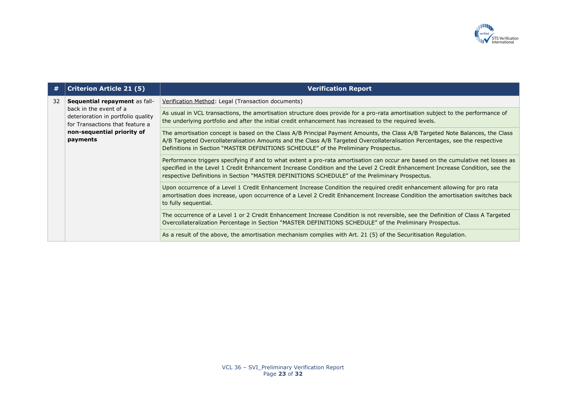

| #  | <b>Criterion Article 21 (5)</b>                                                                                                           | <b>Verification Report</b>                                                                                                                                                                                                                                                                                                                                           |
|----|-------------------------------------------------------------------------------------------------------------------------------------------|----------------------------------------------------------------------------------------------------------------------------------------------------------------------------------------------------------------------------------------------------------------------------------------------------------------------------------------------------------------------|
| 32 | Sequential repayment as fall-                                                                                                             | Verification Method: Legal (Transaction documents)                                                                                                                                                                                                                                                                                                                   |
|    | back in the event of a<br>deterioration in portfolio quality<br>for Transactions that feature a<br>non-sequential priority of<br>payments | As usual in VCL transactions, the amortisation structure does provide for a pro-rata amortisation subject to the performance of<br>the underlying portfolio and after the initial credit enhancement has increased to the required levels.                                                                                                                           |
|    |                                                                                                                                           | The amortisation concept is based on the Class A/B Principal Payment Amounts, the Class A/B Targeted Note Balances, the Class<br>A/B Targeted Overcollateralisation Amounts and the Class A/B Targeted Overcollateralisation Percentages, see the respective<br>Definitions in Section "MASTER DEFINITIONS SCHEDULE" of the Preliminary Prospectus.                  |
|    |                                                                                                                                           | Performance triggers specifying if and to what extent a pro-rata amortisation can occur are based on the cumulative net losses as<br>specified in the Level 1 Credit Enhancement Increase Condition and the Level 2 Credit Enhancement Increase Condition, see the<br>respective Definitions in Section "MASTER DEFINITIONS SCHEDULE" of the Preliminary Prospectus. |
|    |                                                                                                                                           | Upon occurrence of a Level 1 Credit Enhancement Increase Condition the required credit enhancement allowing for pro rata<br>amortisation does increase, upon occurrence of a Level 2 Credit Enhancement Increase Condition the amortisation switches back<br>to fully sequential.                                                                                    |
|    |                                                                                                                                           | The occurrence of a Level 1 or 2 Credit Enhancement Increase Condition is not reversible, see the Definition of Class A Targeted<br>Overcollateralization Percentage in Section "MASTER DEFINITIONS SCHEDULE" of the Preliminary Prospectus.                                                                                                                         |
|    |                                                                                                                                           | As a result of the above, the amortisation mechanism complies with Art. 21 (5) of the Securitisation Regulation.                                                                                                                                                                                                                                                     |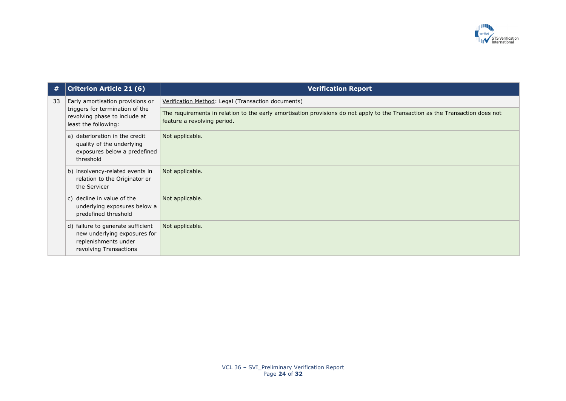

| #  | <b>Criterion Article 21 (6)</b>                                                                                              | <b>Verification Report</b>                                                                                                                                   |
|----|------------------------------------------------------------------------------------------------------------------------------|--------------------------------------------------------------------------------------------------------------------------------------------------------------|
| 33 | Early amortisation provisions or<br>triggers for termination of the<br>revolving phase to include at<br>least the following: | Verification Method: Legal (Transaction documents)                                                                                                           |
|    |                                                                                                                              | The requirements in relation to the early amortisation provisions do not apply to the Transaction as the Transaction does not<br>feature a revolving period. |
|    | a) deterioration in the credit<br>quality of the underlying<br>exposures below a predefined<br>threshold                     | Not applicable.                                                                                                                                              |
|    | b) insolvency-related events in<br>relation to the Originator or<br>the Servicer                                             | Not applicable.                                                                                                                                              |
|    | c) decline in value of the<br>underlying exposures below a<br>predefined threshold                                           | Not applicable.                                                                                                                                              |
|    | d) failure to generate sufficient<br>new underlying exposures for<br>replenishments under<br>revolving Transactions          | Not applicable.                                                                                                                                              |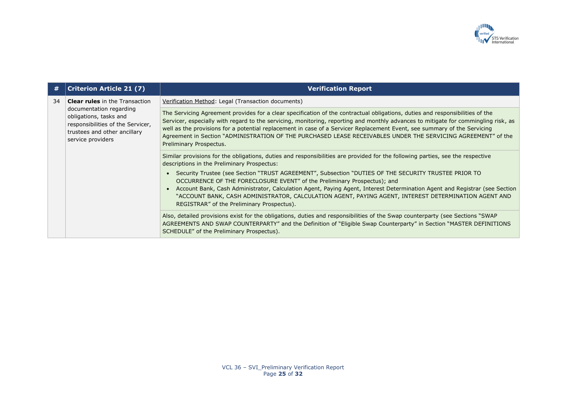

| #  | <b>Criterion Article 21 (7)</b>                                                                                                                                                      | <b>Verification Report</b>                                                                                                                                                                                                                                                                                                                                                                                                                                                                                                                  |
|----|--------------------------------------------------------------------------------------------------------------------------------------------------------------------------------------|---------------------------------------------------------------------------------------------------------------------------------------------------------------------------------------------------------------------------------------------------------------------------------------------------------------------------------------------------------------------------------------------------------------------------------------------------------------------------------------------------------------------------------------------|
| 34 | <b>Clear rules</b> in the Transaction<br>documentation regarding<br>obligations, tasks and<br>responsibilities of the Servicer,<br>trustees and other ancillary<br>service providers | Verification Method: Legal (Transaction documents)                                                                                                                                                                                                                                                                                                                                                                                                                                                                                          |
|    |                                                                                                                                                                                      | The Servicing Agreement provides for a clear specification of the contractual obligations, duties and responsibilities of the<br>Servicer, especially with regard to the servicing, monitoring, reporting and monthly advances to mitigate for commingling risk, as<br>well as the provisions for a potential replacement in case of a Servicer Replacement Event, see summary of the Servicing<br>Agreement in Section "ADMINISTRATION OF THE PURCHASED LEASE RECEIVABLES UNDER THE SERVICING AGREEMENT" of the<br>Preliminary Prospectus. |
|    |                                                                                                                                                                                      | Similar provisions for the obligations, duties and responsibilities are provided for the following parties, see the respective<br>descriptions in the Preliminary Prospectus:                                                                                                                                                                                                                                                                                                                                                               |
|    |                                                                                                                                                                                      | Security Trustee (see Section "TRUST AGREEMENT", Subsection "DUTIES OF THE SECURITY TRUSTEE PRIOR TO<br>OCCURRENCE OF THE FORECLOSURE EVENT" of the Preliminary Prospectus); and                                                                                                                                                                                                                                                                                                                                                            |
|    |                                                                                                                                                                                      | Account Bank, Cash Administrator, Calculation Agent, Paying Agent, Interest Determination Agent and Registrar (see Section<br>"ACCOUNT BANK, CASH ADMINISTRATOR, CALCULATION AGENT, PAYING AGENT, INTEREST DETERMINATION AGENT AND<br>REGISTRAR" of the Preliminary Prospectus).                                                                                                                                                                                                                                                            |
|    |                                                                                                                                                                                      | Also, detailed provisions exist for the obligations, duties and responsibilities of the Swap counterparty (see Sections "SWAP<br>AGREEMENTS AND SWAP COUNTERPARTY" and the Definition of "Eligible Swap Counterparty" in Section "MASTER DEFINITIONS<br>SCHEDULE" of the Preliminary Prospectus).                                                                                                                                                                                                                                           |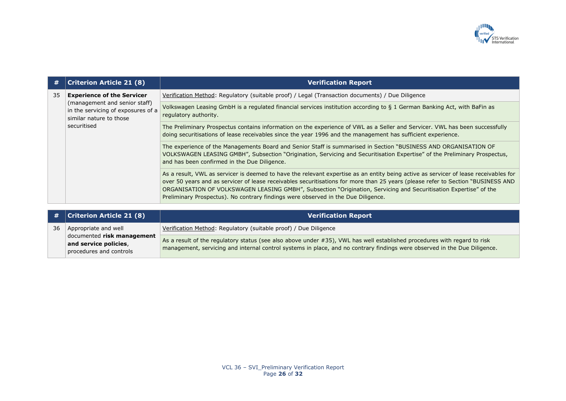

| #  | <b>Criterion Article 21 (8)</b>                                                                                                                    | <b>Verification Report</b>                                                                                                                                                                                                                                                                                                                                                                                                                                                         |
|----|----------------------------------------------------------------------------------------------------------------------------------------------------|------------------------------------------------------------------------------------------------------------------------------------------------------------------------------------------------------------------------------------------------------------------------------------------------------------------------------------------------------------------------------------------------------------------------------------------------------------------------------------|
| 35 | <b>Experience of the Servicer</b><br>(management and senior staff)<br>in the servicing of exposures of a<br>similar nature to those<br>securitised | Verification Method: Regulatory (suitable proof) / Legal (Transaction documents) / Due Diligence                                                                                                                                                                                                                                                                                                                                                                                   |
|    |                                                                                                                                                    | Volkswagen Leasing GmbH is a regulated financial services institution according to § 1 German Banking Act, with BaFin as<br>regulatory authority.                                                                                                                                                                                                                                                                                                                                  |
|    |                                                                                                                                                    | The Preliminary Prospectus contains information on the experience of VWL as a Seller and Servicer. VWL has been successfully<br>doing securitisations of lease receivables since the year 1996 and the management has sufficient experience.                                                                                                                                                                                                                                       |
|    |                                                                                                                                                    | The experience of the Managements Board and Senior Staff is summarised in Section "BUSINESS AND ORGANISATION OF<br>VOLKSWAGEN LEASING GMBH", Subsection "Origination, Servicing and Securitisation Expertise" of the Preliminary Prospectus,<br>and has been confirmed in the Due Diligence.                                                                                                                                                                                       |
|    |                                                                                                                                                    | As a result, VWL as servicer is deemed to have the relevant expertise as an entity being active as servicer of lease receivables for<br>over 50 years and as servicer of lease receivables securitisations for more than 25 years (please refer to Section "BUSINESS AND<br>ORGANISATION OF VOLKSWAGEN LEASING GMBH", Subsection "Origination, Servicing and Securitisation Expertise" of the<br>Preliminary Prospectus). No contrary findings were observed in the Due Diligence. |

|    | # $ $ Criterion Article 21 (8)                                                 | <b>Verification Report</b>                                                                                                                                                                                                                            |
|----|--------------------------------------------------------------------------------|-------------------------------------------------------------------------------------------------------------------------------------------------------------------------------------------------------------------------------------------------------|
| 36 | Appropriate and well                                                           | Verification Method: Regulatory (suitable proof) / Due Diligence                                                                                                                                                                                      |
|    | documented risk management<br>and service policies,<br>procedures and controls | As a result of the regulatory status (see also above under #35), VWL has well established procedures with regard to risk<br>management, servicing and internal control systems in place, and no contrary findings were observed in the Due Diligence. |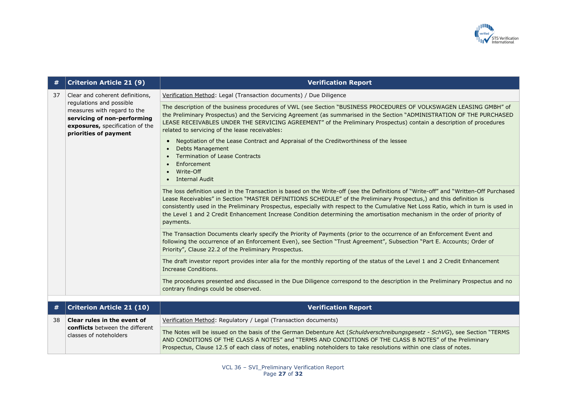

| #  | <b>Criterion Article 21 (9)</b>                                                                                                                                                       | <b>Verification Report</b>                                                                                                                                                                                                                                                                                                                                                                                                                                                                                                                                                                                                         |
|----|---------------------------------------------------------------------------------------------------------------------------------------------------------------------------------------|------------------------------------------------------------------------------------------------------------------------------------------------------------------------------------------------------------------------------------------------------------------------------------------------------------------------------------------------------------------------------------------------------------------------------------------------------------------------------------------------------------------------------------------------------------------------------------------------------------------------------------|
| 37 | Clear and coherent definitions,<br>regulations and possible<br>measures with regard to the<br>servicing of non-performing<br>exposures, specification of the<br>priorities of payment | Verification Method: Legal (Transaction documents) / Due Diligence                                                                                                                                                                                                                                                                                                                                                                                                                                                                                                                                                                 |
|    |                                                                                                                                                                                       | The description of the business procedures of VWL (see Section "BUSINESS PROCEDURES OF VOLKSWAGEN LEASING GMBH" of<br>the Preliminary Prospectus) and the Servicing Agreement (as summarised in the Section "ADMINISTRATION OF THE PURCHASED<br>LEASE RECEIVABLES UNDER THE SERVICING AGREEMENT" of the Preliminary Prospectus) contain a description of procedures<br>related to servicing of the lease receivables:<br>Negotiation of the Lease Contract and Appraisal of the Creditworthiness of the lessee<br><b>Debts Management</b><br><b>Termination of Lease Contracts</b><br>Enforcement<br>Write-Off<br>• Internal Audit |
|    |                                                                                                                                                                                       | The loss definition used in the Transaction is based on the Write-off (see the Definitions of "Write-off" and "Written-Off Purchased<br>Lease Receivables" in Section "MASTER DEFINITIONS SCHEDULE" of the Preliminary Prospectus,) and this definition is<br>consistently used in the Preliminary Prospectus, especially with respect to the Cumulative Net Loss Ratio, which in turn is used in<br>the Level 1 and 2 Credit Enhancement Increase Condition determining the amortisation mechanism in the order of priority of<br>payments.                                                                                       |
|    |                                                                                                                                                                                       | The Transaction Documents clearly specify the Priority of Payments (prior to the occurrence of an Enforcement Event and<br>following the occurrence of an Enforcement Even), see Section "Trust Agreement", Subsection "Part E. Accounts; Order of<br>Priority", Clause 22.2 of the Preliminary Prospectus.                                                                                                                                                                                                                                                                                                                        |
|    |                                                                                                                                                                                       | The draft investor report provides inter alia for the monthly reporting of the status of the Level 1 and 2 Credit Enhancement<br>Increase Conditions.                                                                                                                                                                                                                                                                                                                                                                                                                                                                              |
|    |                                                                                                                                                                                       | The procedures presented and discussed in the Due Diligence correspond to the description in the Preliminary Prospectus and no<br>contrary findings could be observed.                                                                                                                                                                                                                                                                                                                                                                                                                                                             |
|    |                                                                                                                                                                                       |                                                                                                                                                                                                                                                                                                                                                                                                                                                                                                                                                                                                                                    |
| #  | <b>Criterion Article 21 (10)</b>                                                                                                                                                      | <b>Verification Report</b>                                                                                                                                                                                                                                                                                                                                                                                                                                                                                                                                                                                                         |
| 38 | Clear rules in the event of<br>conflicts between the different                                                                                                                        | Verification Method: Regulatory / Legal (Transaction documents)                                                                                                                                                                                                                                                                                                                                                                                                                                                                                                                                                                    |
|    | classes of noteholders                                                                                                                                                                | The Notes will be issued on the basis of the German Debenture Act (Schuldverschreibungsgesetz - SchVG), see Section "TERMS<br>AND CONDITIONS OF THE CLASS A NOTES" and "TERMS AND CONDITIONS OF THE CLASS B NOTES" of the Preliminary<br>Prospectus, Clause 12.5 of each class of notes, enabling noteholders to take resolutions within one class of notes.                                                                                                                                                                                                                                                                       |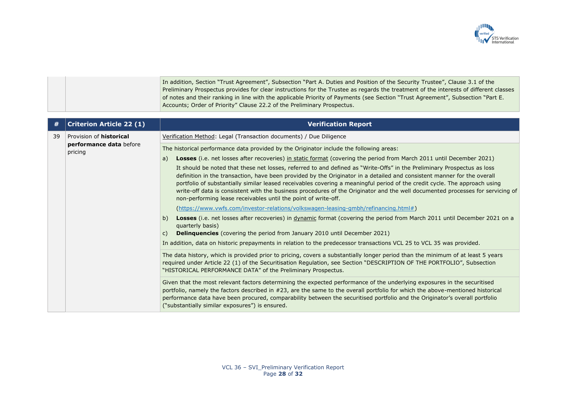

In addition, Section "Trust Agreement", Subsection "Part A. Duties and Position of the Security Trustee", Clause 3.1 of the Preliminary Prospectus provides for clear instructions for the Trustee as regards the treatment of the interests of different classes of notes and their ranking in line with the applicable Priority of Payments (see Section "Trust Agreement", Subsection "Part E. Accounts; Order of Priority" Clause 22.2 of the Preliminary Prospectus.

| #  | <b>Criterion Article 22 (1)</b>    | <b>Verification Report</b>                                                                                                                                                                                                                                                                                                                                                                                                                                                                                                                                                           |
|----|------------------------------------|--------------------------------------------------------------------------------------------------------------------------------------------------------------------------------------------------------------------------------------------------------------------------------------------------------------------------------------------------------------------------------------------------------------------------------------------------------------------------------------------------------------------------------------------------------------------------------------|
| 39 | Provision of <b>historical</b>     | Verification Method: Legal (Transaction documents) / Due Diligence                                                                                                                                                                                                                                                                                                                                                                                                                                                                                                                   |
|    | performance data before<br>pricing | The historical performance data provided by the Originator include the following areas:                                                                                                                                                                                                                                                                                                                                                                                                                                                                                              |
|    |                                    | Losses (i.e. net losses after recoveries) in static format (covering the period from March 2011 until December 2021)<br>a)                                                                                                                                                                                                                                                                                                                                                                                                                                                           |
|    |                                    | It should be noted that these net losses, referred to and defined as "Write-Offs" in the Preliminary Prospectus as loss<br>definition in the transaction, have been provided by the Originator in a detailed and consistent manner for the overall<br>portfolio of substantially similar leased receivables covering a meaningful period of the credit cycle. The approach using<br>write-off data is consistent with the business procedures of the Originator and the well documented processes for servicing of<br>non-performing lease receivables until the point of write-off. |
|    |                                    | (https://www.vwfs.com/investor-relations/volkswagen-leasing-gmbh/refinancing.html#)                                                                                                                                                                                                                                                                                                                                                                                                                                                                                                  |
|    |                                    | Losses (i.e. net losses after recoveries) in dynamic format (covering the period from March 2011 until December 2021 on a<br>b)<br>quarterly basis)<br><b>Delinguencies</b> (covering the period from January 2010 until December 2021)<br>$\mathsf{C}$ )                                                                                                                                                                                                                                                                                                                            |
|    |                                    |                                                                                                                                                                                                                                                                                                                                                                                                                                                                                                                                                                                      |
|    |                                    | In addition, data on historic prepayments in relation to the predecessor transactions VCL 25 to VCL 35 was provided.                                                                                                                                                                                                                                                                                                                                                                                                                                                                 |
|    |                                    | The data history, which is provided prior to pricing, covers a substantially longer period than the minimum of at least 5 years<br>required under Article 22 (1) of the Securitisation Regulation, see Section "DESCRIPTION OF THE PORTFOLIO", Subsection<br>"HISTORICAL PERFORMANCE DATA" of the Preliminary Prospectus.                                                                                                                                                                                                                                                            |
|    |                                    | Given that the most relevant factors determining the expected performance of the underlying exposures in the securitised<br>portfolio, namely the factors described in #23, are the same to the overall portfolio for which the above-mentioned historical<br>performance data have been procured, comparability between the securitised portfolio and the Originator's overall portfolio<br>("substantially similar exposures") is ensured.                                                                                                                                         |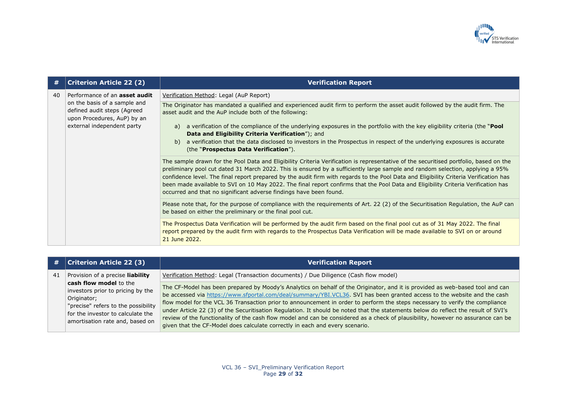

| #  | <b>Criterion Article 22 (2)</b>                                                                                                                                  | <b>Verification Report</b>                                                                                                                                                                                                                                                                                                                                                                                                                                                                                                                                                                                                 |
|----|------------------------------------------------------------------------------------------------------------------------------------------------------------------|----------------------------------------------------------------------------------------------------------------------------------------------------------------------------------------------------------------------------------------------------------------------------------------------------------------------------------------------------------------------------------------------------------------------------------------------------------------------------------------------------------------------------------------------------------------------------------------------------------------------------|
| 40 | Performance of an <b>asset audit</b><br>on the basis of a sample and<br>defined audit steps (Agreed<br>upon Procedures, AuP) by an<br>external independent party | Verification Method: Legal (AuP Report)                                                                                                                                                                                                                                                                                                                                                                                                                                                                                                                                                                                    |
|    |                                                                                                                                                                  | The Originator has mandated a qualified and experienced audit firm to perform the asset audit followed by the audit firm. The<br>asset audit and the AuP include both of the following:                                                                                                                                                                                                                                                                                                                                                                                                                                    |
|    |                                                                                                                                                                  | a verification of the compliance of the underlying exposures in the portfolio with the key eligibility criteria (the "Pool"<br>a)<br>Data and Eligibility Criteria Verification"); and                                                                                                                                                                                                                                                                                                                                                                                                                                     |
|    |                                                                                                                                                                  | a verification that the data disclosed to investors in the Prospectus in respect of the underlying exposures is accurate<br>b)<br>(the "Prospectus Data Verification").                                                                                                                                                                                                                                                                                                                                                                                                                                                    |
|    |                                                                                                                                                                  | The sample drawn for the Pool Data and Eligibility Criteria Verification is representative of the securitised portfolio, based on the<br>preliminary pool cut dated 31 March 2022. This is ensured by a sufficiently large sample and random selection, applying a 95%<br>confidence level. The final report prepared by the audit firm with regards to the Pool Data and Eligibility Criteria Verification has<br>been made available to SVI on 10 May 2022. The final report confirms that the Pool Data and Eligibility Criteria Verification has<br>occurred and that no significant adverse findings have been found. |
|    |                                                                                                                                                                  | Please note that, for the purpose of compliance with the requirements of Art. 22 (2) of the Securitisation Regulation, the AuP can<br>be based on either the preliminary or the final pool cut.                                                                                                                                                                                                                                                                                                                                                                                                                            |
|    |                                                                                                                                                                  | The Prospectus Data Verification will be performed by the audit firm based on the final pool cut as of 31 May 2022. The final<br>report prepared by the audit firm with regards to the Prospectus Data Verification will be made available to SVI on or around<br>21 June 2022.                                                                                                                                                                                                                                                                                                                                            |

| #  | Criterion Article 22 (3)                                                                                                                                                                  | <b>Verification Report</b>                                                                                                                                                                                                                                                                                                                                                                                                                                                                                                                                                                                                                                                                                                                          |
|----|-------------------------------------------------------------------------------------------------------------------------------------------------------------------------------------------|-----------------------------------------------------------------------------------------------------------------------------------------------------------------------------------------------------------------------------------------------------------------------------------------------------------------------------------------------------------------------------------------------------------------------------------------------------------------------------------------------------------------------------------------------------------------------------------------------------------------------------------------------------------------------------------------------------------------------------------------------------|
| 41 | Provision of a precise liability                                                                                                                                                          | Verification Method: Legal (Transaction documents) / Due Diligence (Cash flow model)                                                                                                                                                                                                                                                                                                                                                                                                                                                                                                                                                                                                                                                                |
|    | cash flow model to the<br>investors prior to pricing by the<br>Originator;<br>"precise" refers to the possibility<br>for the investor to calculate the<br>amortisation rate and, based on | The CF-Model has been prepared by Moody's Analytics on behalf of the Originator, and it is provided as web-based tool and can<br>be accessed via https://www.sfportal.com/deal/summary/YBI.VCL36. SVI has been granted access to the website and the cash<br>flow model for the VCL 36 Transaction prior to announcement in order to perform the steps necessary to verify the compliance<br>under Article 22 (3) of the Securitisation Regulation. It should be noted that the statements below do reflect the result of SVI's<br>review of the functionality of the cash flow model and can be considered as a check of plausibility, however no assurance can be<br>given that the CF-Model does calculate correctly in each and every scenario. |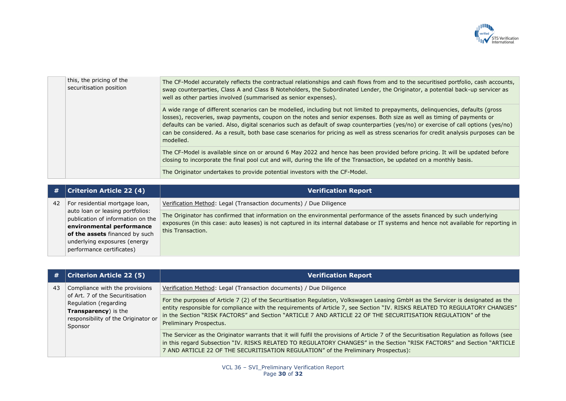

| this, the pricing of the<br>securitisation position | The CF-Model accurately reflects the contractual relationships and cash flows from and to the securitised portfolio, cash accounts,<br>swap counterparties, Class A and Class B Noteholders, the Subordinated Lender, the Originator, a potential back-up servicer as<br>well as other parties involved (summarised as senior expenses).                                                                                                                                                                                                              |
|-----------------------------------------------------|-------------------------------------------------------------------------------------------------------------------------------------------------------------------------------------------------------------------------------------------------------------------------------------------------------------------------------------------------------------------------------------------------------------------------------------------------------------------------------------------------------------------------------------------------------|
|                                                     | A wide range of different scenarios can be modelled, including but not limited to prepayments, delinquencies, defaults (gross<br>losses), recoveries, swap payments, coupon on the notes and senior expenses. Both size as well as timing of payments or<br>defaults can be varied. Also, digital scenarios such as default of swap counterparties (yes/no) or exercise of call options (yes/no)<br>can be considered. As a result, both base case scenarios for pricing as well as stress scenarios for credit analysis purposes can be<br>modelled. |
|                                                     | The CF-Model is available since on or around 6 May 2022 and hence has been provided before pricing. It will be updated before<br>closing to incorporate the final pool cut and will, during the life of the Transaction, be updated on a monthly basis.                                                                                                                                                                                                                                                                                               |
|                                                     | The Originator undertakes to provide potential investors with the CF-Model.                                                                                                                                                                                                                                                                                                                                                                                                                                                                           |

| #  | <b>Criterion Article 22 (4)</b>                                                                    | <b>Verification Report</b>                                                                                                                                                                                                                                                             |
|----|----------------------------------------------------------------------------------------------------|----------------------------------------------------------------------------------------------------------------------------------------------------------------------------------------------------------------------------------------------------------------------------------------|
| 42 | For residential mortgage loan,                                                                     | Verification Method: Legal (Transaction documents) / Due Diligence                                                                                                                                                                                                                     |
|    | auto loan or leasing portfolios:<br>publication of information on the<br>environmental performance | The Originator has confirmed that information on the environmental performance of the assets financed by such underlying<br>exposures (in this case: auto leases) is not captured in its internal database or IT systems and hence not available for reporting in<br>this Transaction. |
|    | of the assets financed by such<br>underlying exposures (energy<br>performance certificates)        |                                                                                                                                                                                                                                                                                        |

| #  | <b>Criterion Article 22 (5)</b>                                                                                                                                      | <b>Verification Report</b>                                                                                                                                                                                                                                                                                                                                                                                 |
|----|----------------------------------------------------------------------------------------------------------------------------------------------------------------------|------------------------------------------------------------------------------------------------------------------------------------------------------------------------------------------------------------------------------------------------------------------------------------------------------------------------------------------------------------------------------------------------------------|
| 43 | Compliance with the provisions<br>of Art. 7 of the Securitisation<br>Regulation (regarding<br>Transparency) is the<br>responsibility of the Originator or<br>Sponsor | Verification Method: Legal (Transaction documents) / Due Diligence                                                                                                                                                                                                                                                                                                                                         |
|    |                                                                                                                                                                      | For the purposes of Article 7 (2) of the Securitisation Regulation, Volkswagen Leasing GmbH as the Servicer is designated as the<br>entity responsible for compliance with the requirements of Article 7, see Section "IV. RISKS RELATED TO REGULATORY CHANGES"<br>in the Section "RISK FACTORS" and Section "ARTICLE 7 AND ARTICLE 22 OF THE SECURITISATION REGULATION" of the<br>Preliminary Prospectus. |
|    |                                                                                                                                                                      | The Servicer as the Originator warrants that it will fulfil the provisions of Article 7 of the Securitisation Regulation as follows (see<br>in this regard Subsection "IV. RISKS RELATED TO REGULATORY CHANGES" in the Section "RISK FACTORS" and Section "ARTICLE<br>7 AND ARTICLE 22 OF THE SECURITISATION REGULATION" of the Preliminary Prospectus):                                                   |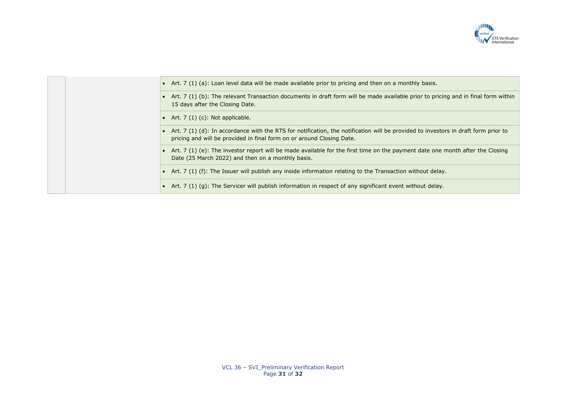

|  | • Art. 7 (1) (a): Loan level data will be made available prior to pricing and then on a monthly basis.                                                                                                        |
|--|---------------------------------------------------------------------------------------------------------------------------------------------------------------------------------------------------------------|
|  | • Art. 7 (1) (b): The relevant Transaction documents in draft form will be made available prior to pricing and in final form within<br>15 days after the Closing Date.                                        |
|  | • Art. $7(1)(c)$ : Not applicable.                                                                                                                                                                            |
|  | • Art. 7 (1) (d): In accordance with the RTS for notification, the notification will be provided to investors in draft form prior to<br>pricing and will be provided in final form on or around Closing Date. |
|  | • Art. 7 (1) (e): The investor report will be made available for the first time on the payment date one month after the Closing<br>Date (25 March 2022) and then on a monthly basis.                          |
|  | • Art. 7 (1) (f): The Issuer will publish any inside information relating to the Transaction without delay.                                                                                                   |
|  | • Art. 7 (1) (g): The Servicer will publish information in respect of any significant event without delay.                                                                                                    |